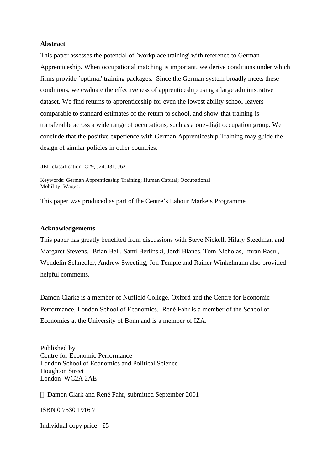#### **Abstract**

This paper assesses the potential of `workplace training' with reference to German Apprenticeship. When occupational matching is important, we derive conditions under which firms provide `optimal' training packages. Since the German system broadly meets these conditions, we evaluate the effectiveness of apprenticeship using a large administrative dataset. We find returns to apprenticeship for even the lowest ability school-leavers comparable to standard estimates of the return to school, and show that training is transferable across a wide range of occupations, such as a one-digit occupation group. We conclude that the positive experience with German Apprenticeship Training may guide the design of similar policies in other countries.

JEL-classification: C29, J24, J31, J62

Keywords: German Apprenticeship Training; Human Capital; Occupational Mobility; Wages.

This paper was produced as part of the Centre's Labour Markets Programme

#### **Acknowledgements**

This paper has greatly benefited from discussions with Steve Nickell, Hilary Steedman and Margaret Stevens. Brian Bell, Sami Berlinski, Jordi Blanes, Tom Nicholas, Imran Rasul, Wendelin Schnedler, Andrew Sweeting, Jon Temple and Rainer Winkelmann also provided helpful comments.

Damon Clarke is a member of Nuffield College, Oxford and the Centre for Economic Performance, London School of Economics. René Fahr is a member of the School of Economics at the University of Bonn and is a member of IZA.

Published by Centre for Economic Performance London School of Economics and Political Science Houghton Street London WC2A 2AE

Damon Clark and René Fahr, submitted September 2001

ISBN 0 7530 1916 7

Individual copy price: £5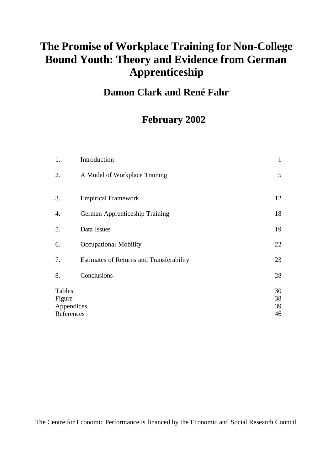# **The Promise of Workplace Training for Non-College Bound Youth: Theory and Evidence from German Apprenticeship**

# **Damon Clark and René Fahr**

# **February 2002**

| Introduction                                    | $\mathbf{1}$         |
|-------------------------------------------------|----------------------|
| A Model of Workplace Training                   | 5                    |
| <b>Empirical Framework</b>                      | 12                   |
| German Apprenticeship Training                  | 18                   |
| Data Issues                                     | 19                   |
| <b>Occupational Mobility</b>                    | 22                   |
| <b>Estimates of Returns and Transferability</b> | 23                   |
| Conclusions                                     | 28                   |
| Appendices<br>References                        | 30<br>38<br>39<br>46 |
|                                                 |                      |

The Centre for Economic Performance is financed by the Economic and Social Research Council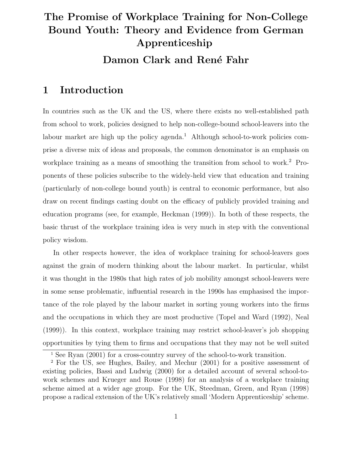# **The Promise of Workplace Training for Non-College Bound Youth: Theory and Evidence from German Apprenticeship Damon Clark and René Fahr**

### **1 Introduction**

In countries such as the UK and the US, where there exists no well-established path from school to work, policies designed to help non-college-bound school-leavers into the labour market are high up the policy agenda.<sup>1</sup> Although school-to-work policies comprise a diverse mix of ideas and proposals, the common denominator is an emphasis on workplace training as a means of smoothing the transition from school to work.<sup>2</sup> Proponents of these policies subscribe to the widely-held view that education and training (particularly of non-college bound youth) is central to economic performance, but also draw on recent findings casting doubt on the efficacy of publicly provided training and education programs (see, for example, Heckman (1999)). In both of these respects, the basic thrust of the workplace training idea is very much in step with the conventional policy wisdom.

In other respects however, the idea of workplace training for school-leavers goes against the grain of modern thinking about the labour market. In particular, whilst it was thought in the 1980s that high rates of job mobility amongst school-leavers were in some sense problematic, influential research in the 1990s has emphasised the importance of the role played by the labour market in sorting young workers into the firms and the occupations in which they are most productive (Topel and Ward (1992), Neal (1999)). In this context, workplace training may restrict school-leaver's job shopping opportunities by tying them to firms and occupations that they may not be well suited

<sup>&</sup>lt;sup>1</sup> See Ryan (2001) for a cross-country survey of the school-to-work transition.

<sup>2</sup> For the US, see Hughes, Bailey, and Mechur (2001) for a positive assessment of existing policies, Bassi and Ludwig (2000) for a detailed account of several school-towork schemes and Krueger and Rouse (1998) for an analysis of a workplace training scheme aimed at a wider age group. For the UK, Steedman, Green, and Ryan (1998) propose a radical extension of the UK's relatively small 'Modern Apprenticeship' scheme.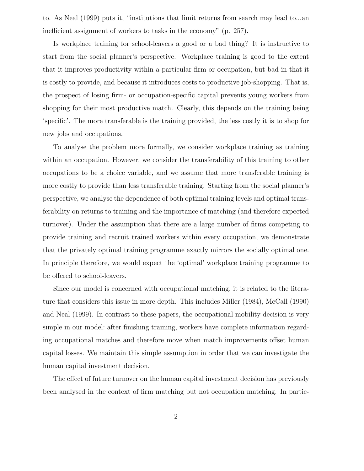to. As Neal (1999) puts it, "institutions that limit returns from search may lead to...an inefficient assignment of workers to tasks in the economy" (p. 257).

Is workplace training for school-leavers a good or a bad thing? It is instructive to start from the social planner's perspective. Workplace training is good to the extent that it improves productivity within a particular firm or occupation, but bad in that it is costly to provide, and because it introduces costs to productive job-shopping. That is, the prospect of losing firm- or occupation-specific capital prevents young workers from shopping for their most productive match. Clearly, this depends on the training being 'specific'. The more transferable is the training provided, the less costly it is to shop for new jobs and occupations.

To analyse the problem more formally, we consider workplace training as training within an occupation. However, we consider the transferability of this training to other occupations to be a choice variable, and we assume that more transferable training is more costly to provide than less transferable training. Starting from the social planner's perspective, we analyse the dependence of both optimal training levels and optimal transferability on returns to training and the importance of matching (and therefore expected turnover). Under the assumption that there are a large number of firms competing to provide training and recruit trained workers within every occupation, we demonstrate that the privately optimal training programme exactly mirrors the socially optimal one. In principle therefore, we would expect the 'optimal' workplace training programme to be offered to school-leavers.

Since our model is concerned with occupational matching, it is related to the literature that considers this issue in more depth. This includes Miller (1984), McCall (1990) and Neal (1999). In contrast to these papers, the occupational mobility decision is very simple in our model: after finishing training, workers have complete information regarding occupational matches and therefore move when match improvements offset human capital losses. We maintain this simple assumption in order that we can investigate the human capital investment decision.

The effect of future turnover on the human capital investment decision has previously been analysed in the context of firm matching but not occupation matching. In partic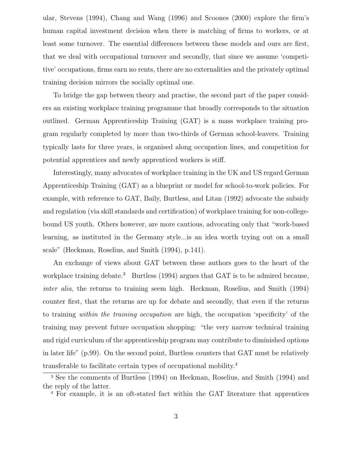ular, Stevens (1994), Chang and Wang (1996) and Scoones (2000) explore the firm's human capital investment decision when there is matching of firms to workers, or at least some turnover. The essential differences between these models and ours are first, that we deal with occupational turnover and secondly, that since we assume 'competitive' occupations, firms earn no rents, there are no externalities and the privately optimal training decision mirrors the socially optimal one.

To bridge the gap between theory and practise, the second part of the paper considers an existing workplace training programme that broadly corresponds to the situation outlined. German Apprenticeship Training (GAT) is a mass workplace training program regularly completed by more than two-thirds of German school-leavers. Training typically lasts for three years, is organised along occupation lines, and competition for potential apprentices and newly apprenticed workers is stiff.

Interestingly, many advocates of workplace training in the UK and US regard German Apprenticeship Training (GAT) as a blueprint or model for school-to-work policies. For example, with reference to GAT, Baily, Burtless, and Litan (1992) advocate the subsidy and regulation (via skill standards and certification) of workplace training for non-collegebound US youth. Others however, are more cautious, advocating only that "work-based learning, as instituted in the Germany style...is an idea worth trying out on a small scale" (Heckman, Roselius, and Smith (1994), p.141).

An exchange of views about GAT between these authors goes to the heart of the workplace training debate.<sup>3</sup> Burtless (1994) argues that GAT is to be admired because, inter alia, the returns to training seem high. Heckman, Roselius, and Smith (1994) counter first, that the returns are up for debate and secondly, that even if the returns to training within the training occupation are high, the occupation 'specificity' of the training may prevent future occupation shopping: "the very narrow technical training and rigid curriculum of the apprenticeship program may contribute to diminished options in later life" (p.99). On the second point, Burtless counters that GAT must be relatively transferable to facilitate certain types of occupational mobility.<sup>4</sup>

<sup>3</sup> See the comments of Burtless (1994) on Heckman, Roselius, and Smith (1994) and the reply of the latter.

<sup>4</sup> For example, it is an oft-stated fact within the GAT literature that apprentices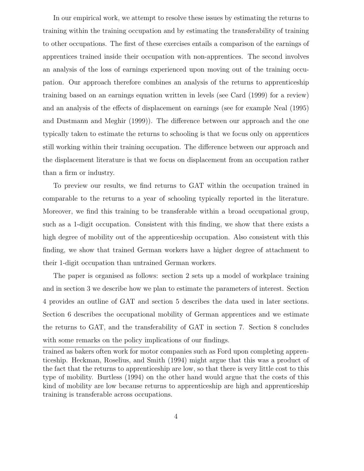In our empirical work, we attempt to resolve these issues by estimating the returns to training within the training occupation and by estimating the transferability of training to other occupations. The first of these exercises entails a comparison of the earnings of apprentices trained inside their occupation with non-apprentices. The second involves an analysis of the loss of earnings experienced upon moving out of the training occupation. Our approach therefore combines an analysis of the returns to apprenticeship training based on an earnings equation written in levels (see Card (1999) for a review) and an analysis of the effects of displacement on earnings (see for example Neal (1995) and Dustmann and Meghir (1999)). The difference between our approach and the one typically taken to estimate the returns to schooling is that we focus only on apprentices still working within their training occupation. The difference between our approach and the displacement literature is that we focus on displacement from an occupation rather than a firm or industry.

To preview our results, we find returns to GAT within the occupation trained in comparable to the returns to a year of schooling typically reported in the literature. Moreover, we find this training to be transferable within a broad occupational group, such as a 1-digit occupation. Consistent with this finding, we show that there exists a high degree of mobility out of the apprenticeship occupation. Also consistent with this finding, we show that trained German workers have a higher degree of attachment to their 1-digit occupation than untrained German workers.

The paper is organised as follows: section 2 sets up a model of workplace training and in section 3 we describe how we plan to estimate the parameters of interest. Section 4 provides an outline of GAT and section 5 describes the data used in later sections. Section 6 describes the occupational mobility of German apprentices and we estimate the returns to GAT, and the transferability of GAT in section 7. Section 8 concludes with some remarks on the policy implications of our findings.

trained as bakers often work for motor companies such as Ford upon completing apprenticeship. Heckman, Roselius, and Smith (1994) might argue that this was a product of the fact that the returns to apprenticeship are low, so that there is very little cost to this type of mobility. Burtless (1994) on the other hand would argue that the costs of this kind of mobility are low because returns to apprenticeship are high and apprenticeship training is transferable across occupations.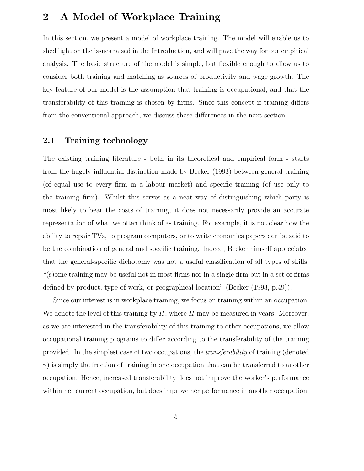## **2 A Model of Workplace Training**

In this section, we present a model of workplace training. The model will enable us to shed light on the issues raised in the Introduction, and will pave the way for our empirical analysis. The basic structure of the model is simple, but flexible enough to allow us to consider both training and matching as sources of productivity and wage growth. The key feature of our model is the assumption that training is occupational, and that the transferability of this training is chosen by firms. Since this concept if training differs from the conventional approach, we discuss these differences in the next section.

### **2.1 Training technology**

The existing training literature - both in its theoretical and empirical form - starts from the hugely influential distinction made by Becker (1993) between general training (of equal use to every firm in a labour market) and specific training (of use only to the training firm). Whilst this serves as a neat way of distinguishing which party is most likely to bear the costs of training, it does not necessarily provide an accurate representation of what we often think of as training. For example, it is not clear how the ability to repair TVs, to program computers, or to write economics papers can be said to be the combination of general and specific training. Indeed, Becker himself appreciated that the general-specific dichotomy was not a useful classification of all types of skills: "(s)ome training may be useful not in most firms nor in a single firm but in a set of firms defined by product, type of work, or geographical location" (Becker (1993, p.49)).

Since our interest is in workplace training, we focus on training within an occupation. We denote the level of this training by  $H$ , where  $H$  may be measured in years. Moreover, as we are interested in the transferability of this training to other occupations, we allow occupational training programs to differ according to the transferability of the training provided. In the simplest case of two occupations, the transferability of training (denoted  $\gamma$ ) is simply the fraction of training in one occupation that can be transferred to another occupation. Hence, increased transferability does not improve the worker's performance within her current occupation, but does improve her performance in another occupation.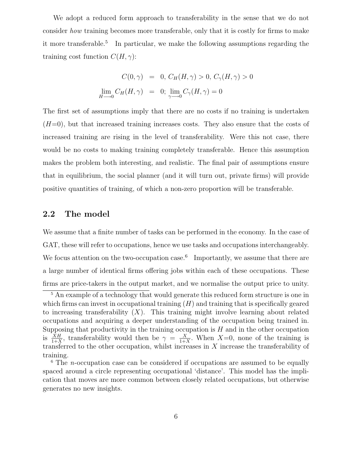We adopt a reduced form approach to transferability in the sense that we do not consider how training becomes more transferable, only that it is costly for firms to make it more transferable.<sup>5</sup> In particular, we make the following assumptions regarding the training cost function  $C(H, \gamma)$ :

$$
C(0, \gamma) = 0, C_H(H, \gamma) > 0, C_{\gamma}(H, \gamma) > 0
$$
  

$$
\lim_{H \to 0} C_H(H, \gamma) = 0; \lim_{\gamma \to 0} C_{\gamma}(H, \gamma) = 0
$$

The first set of assumptions imply that there are no costs if no training is undertaken  $(H=0)$ , but that increased training increases costs. They also ensure that the costs of increased training are rising in the level of transferability. Were this not case, there would be no costs to making training completely transferable. Hence this assumption makes the problem both interesting, and realistic. The final pair of assumptions ensure that in equilibrium, the social planner (and it will turn out, private firms) will provide positive quantities of training, of which a non-zero proportion will be transferable.

#### **2.2 The model**

We assume that a finite number of tasks can be performed in the economy. In the case of GAT, these will refer to occupations, hence we use tasks and occupations interchangeably. We focus attention on the two-occupation case.<sup>6</sup> Importantly, we assume that there are a large number of identical firms offering jobs within each of these occupations. These firms are price-takers in the output market, and we normalise the output price to unity.

<sup>&</sup>lt;sup>5</sup> An example of a technology that would generate this reduced form structure is one in which firms can invest in occupational training  $(H)$  and training that is specifically geared to increasing transferability  $(X)$ . This training might involve learning about related occupations and acquiring a deeper understanding of the occupation being trained in. Supposing that productivity in the training occupation is  $H$  and in the other occupation is  $\frac{\dot{X}H}{1+X}$ , transferability would then be  $\gamma = \frac{X}{1+X}$ . When  $X=0$ , none of the training is transferred to the other occupation, whilst increases in  $X$  increase the transferability of training.

<sup>&</sup>lt;sup>6</sup> The *n*-occupation case can be considered if occupations are assumed to be equally spaced around a circle representing occupational 'distance'. This model has the implication that moves are more common between closely related occupations, but otherwise generates no new insights.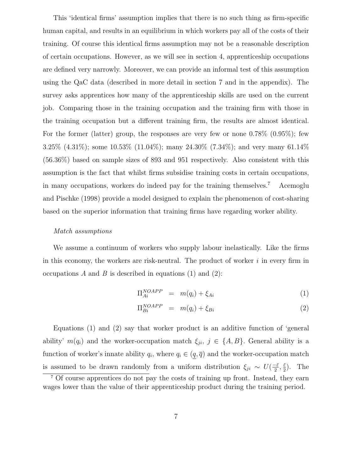This 'identical firms' assumption implies that there is no such thing as firm-specific human capital, and results in an equilibrium in which workers pay all of the costs of their training. Of course this identical firms assumption may not be a reasonable description of certain occupations. However, as we will see in section 4, apprenticeship occupations are defined very narrowly. Moreover, we can provide an informal test of this assumption using the QaC data (described in more detail in section 7 and in the appendix). The survey asks apprentices how many of the apprenticeship skills are used on the current job. Comparing those in the training occupation and the training firm with those in the training occupation but a different training firm, the results are almost identical. For the former (latter) group, the responses are very few or none 0.78% (0.95%); few 3.25% (4.31%); some 10.53% (11.04%); many 24.30% (7.34%); and very many 61.14% (56.36%) based on sample sizes of 893 and 951 respectively. Also consistent with this assumption is the fact that whilst firms subsidise training costs in certain occupations, in many occupations, workers do indeed pay for the training themselves.<sup>7</sup> Acemoglu and Pischke (1998) provide a model designed to explain the phenomenon of cost-sharing based on the superior information that training firms have regarding worker ability.

#### Match assumptions

We assume a continuum of workers who supply labour inelastically. Like the firms in this economy, the workers are risk-neutral. The product of worker  $i$  in every firm in occupations A and B is described in equations (1) and (2):

$$
\Pi_{Ai}^{NOAPP} = m(q_i) + \xi_{Ai} \tag{1}
$$

$$
\Pi_{Bi}^{NOAPP} = m(q_i) + \xi_{Bi} \tag{2}
$$

Equations (1) and (2) say that worker product is an additive function of 'general ability'  $m(q_i)$  and the worker-occupation match  $\xi_{ji}$ ,  $j \in \{A, B\}$ . General ability is a function of worker's innate ability  $q_i$ , where  $q_i \in (\underline{q}, \overline{q})$  and the worker-occupation match is assumed to be drawn randomly from a uniform distribution  $\xi_{ji} \sim U(\frac{-\bar{\varepsilon}}{2}, \frac{\bar{\varepsilon}}{2})$ . The <sup>7</sup> Of course apprentices do not pay the costs of training up front. Instead, they earn

wages lower than the value of their apprenticeship product during the training period.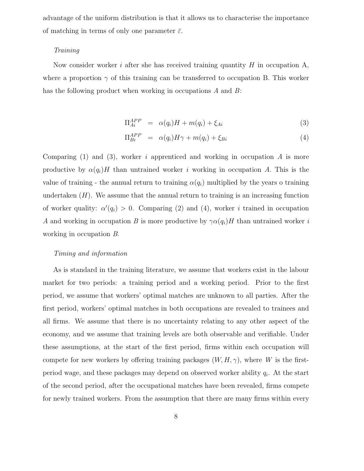advantage of the uniform distribution is that it allows us to characterise the importance of matching in terms of only one parameter  $\bar{\varepsilon}$ .

#### Training

Now consider worker i after she has received training quantity  $H$  in occupation  $A$ , where a proportion  $\gamma$  of this training can be transferred to occupation B. This worker has the following product when working in occupations A and B:

$$
\Pi_{Ai}^{APP} = \alpha(q_i)H + m(q_i) + \xi_{Ai} \tag{3}
$$

$$
\Pi_{Bi}^{APP} = \alpha(q_i)H\gamma + m(q_i) + \xi_{Bi} \tag{4}
$$

Comparing (1) and (3), worker i apprenticed and working in occupation  $A$  is more productive by  $\alpha(q_i)H$  than untrained worker i working in occupation A. This is the value of training - the annual return to training  $\alpha(q_i)$  multiplied by the years o training undertaken  $(H)$ . We assume that the annual return to training is an increasing function of worker quality:  $\alpha'(q_i) > 0$ . Comparing (2) and (4), worker *i* trained in occupation A and working in occupation B is more productive by  $\gamma \alpha(q_i)H$  than untrained worker i working in occupation B.

#### Timing and information

As is standard in the training literature, we assume that workers exist in the labour market for two periods: a training period and a working period. Prior to the first period, we assume that workers' optimal matches are unknown to all parties. After the first period, workers' optimal matches in both occupations are revealed to trainees and all firms. We assume that there is no uncertainty relating to any other aspect of the economy, and we assume that training levels are both observable and verifiable. Under these assumptions, at the start of the first period, firms within each occupation will compete for new workers by offering training packages  $(W, H, \gamma)$ , where W is the firstperiod wage, and these packages may depend on observed worker ability  $q_i$ . At the start of the second period, after the occupational matches have been revealed, firms compete for newly trained workers. From the assumption that there are many firms within every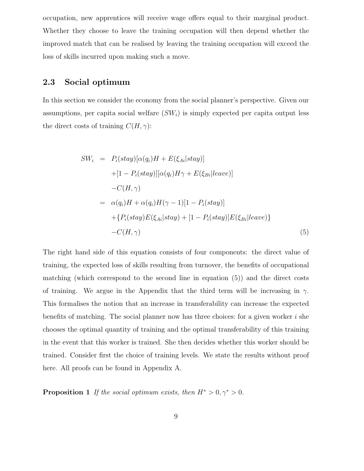occupation, new apprentices will receive wage offers equal to their marginal product. Whether they choose to leave the training occupation will then depend whether the improved match that can be realised by leaving the training occupation will exceed the loss of skills incurred upon making such a move.

#### **2.3 Social optimum**

In this section we consider the economy from the social planner's perspective. Given our assumptions, per capita social welfare  $(SW_i)$  is simply expected per capita output less the direct costs of training  $C(H, \gamma)$ :

$$
SW_i = P_i(stay)[\alpha(q_i)H + E(\xi_{Ai}|stay)]
$$
  
+[1 - P\_i(stay)][\alpha(q\_i)H\gamma + E(\xi\_{Bi}|leave)]  
-C(H, \gamma)  
= \alpha(q\_i)H + \alpha(q\_i)H(\gamma - 1)[1 - P\_i(stay)]  
+{P\_i(stay)E(\xi\_{Ai}|stay) + [1 - P\_i(stay)]E(\xi\_{Bi}|leave)}  
-C(H, \gamma) (5)

The right hand side of this equation consists of four components: the direct value of training, the expected loss of skills resulting from turnover, the benefits of occupational matching (which correspond to the second line in equation (5)) and the direct costs of training. We argue in the Appendix that the third term will be increasing in  $\gamma$ . This formalises the notion that an increase in transferability can increase the expected benefits of matching. The social planner now has three choices: for a given worker  $i$  she chooses the optimal quantity of training and the optimal transferability of this training in the event that this worker is trained. She then decides whether this worker should be trained. Consider first the choice of training levels. We state the results without proof here. All proofs can be found in Appendix A.

**Proposition 1** If the social optimum exists, then  $H^* > 0, \gamma^* > 0$ .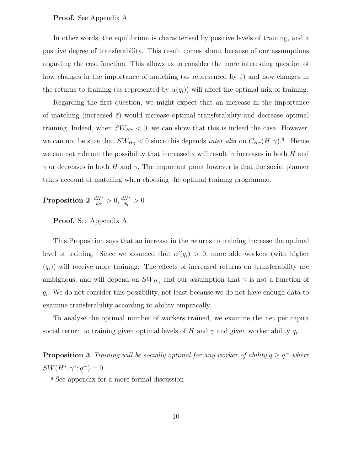#### **Proof.** See Appendix A

In other words, the equilibrium is characterised by positive levels of training, and a positive degree of transferability. This result comes about because of our assumptions regarding the cost function. This allows us to consider the more interesting question of how changes in the importance of matching (as represented by  $\bar{\varepsilon}$ ) and how changes in the returns to training (as represented by  $\alpha(q_i)$ ) will affect the optimal mix of training.

Regarding the first question, we might expect that an increase in the importance of matching (increased  $\bar{\varepsilon}$ ) would increase optimal transferability and decrease optimal training. Indeed, when  $SW_{H\gamma} < 0$ , we can show that this is indeed the case. However, we can not be sure that  $SW_{H\gamma} < 0$  since this depends *inter alia* on  $C_{H\gamma}(H, \gamma)$ .<sup>8</sup> Hence we can not rule out the possibility that increased  $\bar{\varepsilon}$  will result in increases in both H and  $γ$  or decreases in both H and  $γ$ . The important point however is that the social planner takes account of matching when choosing the optimal training programme.

**Proposition 2**  $\frac{dH^*}{d\alpha} > 0$ ,  $\frac{dH^*}{d\alpha} > 0$ 

**Proof**. See Appendix A.

This Proposition says that an increase in the returns to training increase the optimal level of training. Since we assumed that  $\alpha'(q_i) > 0$ , more able workers (with higher  $(q<sub>i</sub>)$ ) will receive more training. The effects of increased returns on transferability are ambiguous, and will depend on  $SW_{H\gamma}$  and our assumption that  $\gamma$  is not a function of  $q_i$ . We do not consider this possibility, not least because we do not have enough data to examine transferability according to ability empirically.

To analyse the optimal number of workers trained, we examine the net per capita social return to training given optimal levels of H and  $\gamma$  and given worker ability  $q_i$ .

**Proposition 3** Training will be socially optimal for any worker of ability  $q \geq q^+$  where  $SW(H^*, \gamma^*; q^+) = 0.$ 

<sup>8</sup> See appendix for a more formal discussion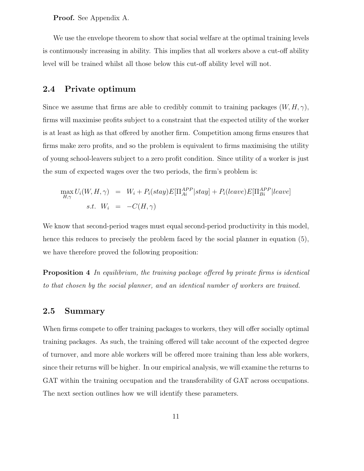**Proof.** See Appendix A.

We use the envelope theorem to show that social welfare at the optimal training levels is continuously increasing in ability. This implies that all workers above a cut-off ability level will be trained whilst all those below this cut-off ability level will not.

#### **2.4 Private optimum**

Since we assume that firms are able to credibly commit to training packages  $(W, H, \gamma)$ , firms will maximise profits subject to a constraint that the expected utility of the worker is at least as high as that offered by another firm. Competition among firms ensures that firms make zero profits, and so the problem is equivalent to firms maximising the utility of young school-leavers subject to a zero profit condition. Since utility of a worker is just the sum of expected wages over the two periods, the firm's problem is:

$$
\max_{H,\gamma} U_i(W, H, \gamma) = W_i + P_i (stay) E[\Pi_{Ai}^{APP} | stay] + P_i (leave) E[\Pi_{Bi}^{APP} | leave]
$$
  
s.t.  $W_i = -C(H, \gamma)$ 

We know that second-period wages must equal second-period productivity in this model, hence this reduces to precisely the problem faced by the social planner in equation (5), we have therefore proved the following proposition:

**Proposition 4** In equilibrium, the training package offered by private firms is identical to that chosen by the social planner, and an identical number of workers are trained.

#### **2.5 Summary**

When firms compete to offer training packages to workers, they will offer socially optimal training packages. As such, the training offered will take account of the expected degree of turnover, and more able workers will be offered more training than less able workers, since their returns will be higher. In our empirical analysis, we will examine the returns to GAT within the training occupation and the transferability of GAT across occupations. The next section outlines how we will identify these parameters.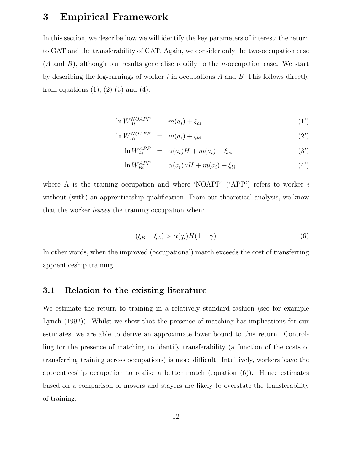## **3 Empirical Framework**

In this section, we describe how we will identify the key parameters of interest: the return to GAT and the transferability of GAT. Again, we consider only the two-occupation case (A and B), although our results generalise readily to the n-occupation case**.** We start by describing the log-earnings of worker  $i$  in occupations  $A$  and  $B$ . This follows directly from equations  $(1)$ ,  $(2)$   $(3)$  and  $(4)$ :

$$
\ln W_{Ai}^{NOAPP} = m(a_i) + \xi_{ai} \tag{1'}
$$

$$
\ln W_{Bi}^{NOAPP} = m(a_i) + \xi_{bi} \tag{2'}
$$

$$
\ln W_{Ai}^{APP} = \alpha(a_i)H + m(a_i) + \xi_{ai}
$$
 (3')

$$
\ln W_{Bi}^{APP} = \alpha(a_i)\gamma H + m(a_i) + \xi_{bi} \tag{4'}
$$

where A is the training occupation and where 'NOAPP' ('APP') refers to worker  $i$ without (with) an apprenticeship qualification. From our theoretical analysis, we know that the worker leaves the training occupation when:

$$
(\xi_B - \xi_A) > \alpha(q_i)H(1 - \gamma)
$$
\n(6)

In other words, when the improved (occupational) match exceeds the cost of transferring apprenticeship training.

#### **3.1 Relation to the existing literature**

We estimate the return to training in a relatively standard fashion (see for example Lynch (1992)). Whilst we show that the presence of matching has implications for our estimates, we are able to derive an approximate lower bound to this return. Controlling for the presence of matching to identify transferability (a function of the costs of transferring training across occupations) is more difficult. Intuitively, workers leave the apprenticeship occupation to realise a better match (equation (6)). Hence estimates based on a comparison of movers and stayers are likely to overstate the transferability of training.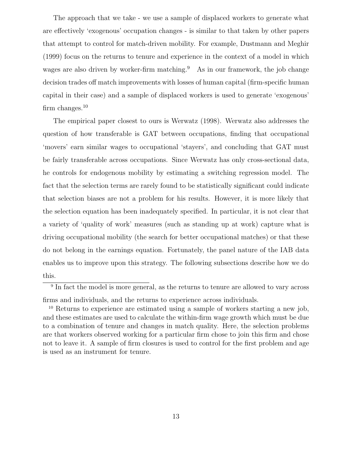The approach that we take - we use a sample of displaced workers to generate what are effectively 'exogenous' occupation changes - is similar to that taken by other papers that attempt to control for match-driven mobility. For example, Dustmann and Meghir (1999) focus on the returns to tenure and experience in the context of a model in which wages are also driven by worker-firm matching.<sup>9</sup> As in our framework, the job change decision trades off match improvements with losses of human capital (firm-specific human capital in their case) and a sample of displaced workers is used to generate 'exogenous' firm changes. $10$ 

The empirical paper closest to ours is Werwatz (1998). Werwatz also addresses the question of how transferable is GAT between occupations, finding that occupational 'movers' earn similar wages to occupational 'stayers', and concluding that GAT must be fairly transferable across occupations. Since Werwatz has only cross-sectional data, he controls for endogenous mobility by estimating a switching regression model. The fact that the selection terms are rarely found to be statistically significant could indicate that selection biases are not a problem for his results. However, it is more likely that the selection equation has been inadequately specified. In particular, it is not clear that a variety of 'quality of work' measures (such as standing up at work) capture what is driving occupational mobility (the search for better occupational matches) or that these do not belong in the earnings equation. Fortunately, the panel nature of the IAB data enables us to improve upon this strategy. The following subsections describe how we do this.

<sup>&</sup>lt;sup>9</sup> In fact the model is more general, as the returns to tenure are allowed to vary across firms and individuals, and the returns to experience across individuals.

<sup>10</sup> Returns to experience are estimated using a sample of workers starting a new job, and these estimates are used to calculate the within-firm wage growth which must be due to a combination of tenure and changes in match quality. Here, the selection problems are that workers observed working for a particular firm chose to join this firm and chose not to leave it. A sample of firm closures is used to control for the first problem and age is used as an instrument for tenure.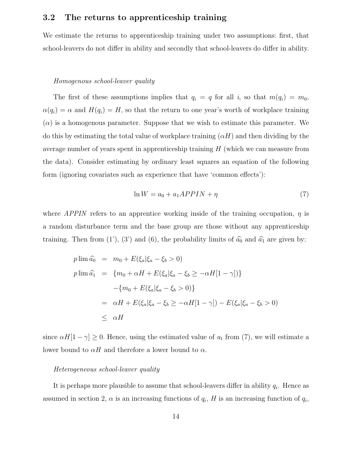### **3.2 The returns to apprenticeship training**

We estimate the returns to apprenticeship training under two assumptions: first, that school-leavers do not differ in ability and secondly that school-leavers do differ in ability.

#### Homogenous school-leaver quality

The first of these assumptions implies that  $q_i = q$  for all i, so that  $m(q_i) = m_0$ ,  $\alpha(q_i) = \alpha$  and  $H(q_i) = H$ , so that the return to one year's worth of workplace training  $(\alpha)$  is a homogenous parameter. Suppose that we wish to estimate this parameter. We do this by estimating the total value of workplace training  $(\alpha H)$  and then dividing by the average number of years spent in apprenticeship training  $H$  (which we can measure from the data). Consider estimating by ordinary least squares an equation of the following form (ignoring covariates such as experience that have 'common effects'):

$$
\ln W = a_0 + a_1 APPIN + \eta \tag{7}
$$

where APPIN refers to an apprentice working inside of the training occupation,  $\eta$  is a random disturbance term and the base group are those without any apprenticeship training. Then from (1'), (3') and (6), the probability limits of  $\hat{a}_0$  and  $\hat{a}_1$  are given by:

$$
p \lim \hat{a_0} = m_0 + E(\xi_a | \xi_a - \xi_b > 0)
$$
  
\n
$$
p \lim \hat{a_1} = \{m_0 + \alpha H + E(\xi_a | \xi_a - \xi_b \ge -\alpha H[1 - \gamma])\}
$$
  
\n
$$
-\{m_0 + E(\xi_a | \xi_a - \xi_b > 0)\}
$$
  
\n
$$
= \alpha H + E(\xi_a | \xi_a - \xi_b \ge -\alpha H[1 - \gamma]) - E(\xi_a | \xi_a - \xi_b > 0)
$$
  
\n
$$
\le \alpha H
$$

since  $\alpha H[1-\gamma] \geq 0$ . Hence, using the estimated value of  $a_1$  from (7), we will estimate a lower bound to  $\alpha H$  and therefore a lower bound to  $\alpha$ .

#### Heterogeneous school-leaver quality

It is perhaps more plausible to assume that school-leavers differ in ability  $q_i$ . Hence as assumed in section 2,  $\alpha$  is an increasing functions of  $q_i$ , H is an increasing function of  $q_i$ ,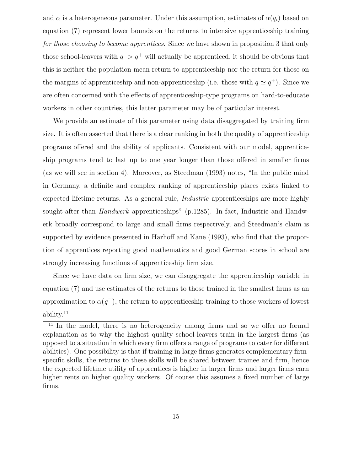and  $\alpha$  is a heterogeneous parameter. Under this assumption, estimates of  $\alpha(q_i)$  based on equation (7) represent lower bounds on the returns to intensive apprenticeship training for those choosing to become apprentices. Since we have shown in proposition 3 that only those school-leavers with  $q > q^+$  will actually be apprenticed, it should be obvious that this is neither the population mean return to apprenticeship nor the return for those on the margins of apprenticeship and non-apprenticeship (i.e. those with  $q \simeq q^+$ ). Since we are often concerned with the effects of apprenticeship-type programs on hard-to-educate workers in other countries, this latter parameter may be of particular interest.

We provide an estimate of this parameter using data disaggregated by training firm size. It is often asserted that there is a clear ranking in both the quality of apprenticeship programs offered and the ability of applicants. Consistent with our model, apprenticeship programs tend to last up to one year longer than those offered in smaller firms (as we will see in section 4). Moreover, as Steedman (1993) notes, "In the public mind in Germany, a definite and complex ranking of apprenticeship places exists linked to expected lifetime returns. As a general rule, *Industrie* apprenticeships are more highly sought-after than Handwerk apprenticeships" (p.1285). In fact, Industrie and Handwerk broadly correspond to large and small firms respectively, and Steedman's claim is supported by evidence presented in Harhoff and Kane (1993), who find that the proportion of apprentices reporting good mathematics and good German scores in school are strongly increasing functions of apprenticeship firm size.

Since we have data on firm size, we can disaggregate the apprenticeship variable in equation (7) and use estimates of the returns to those trained in the smallest firms as an approximation to  $\alpha(q^+)$ , the return to apprenticeship training to those workers of lowest ability.<sup>11</sup>

<sup>&</sup>lt;sup>11</sup> In the model, there is no heterogeneity among firms and so we offer no formal explanation as to why the highest quality school-leavers train in the largest firms (as opposed to a situation in which every firm offers a range of programs to cater for different abilities). One possibility is that if training in large firms generates complementary firmspecific skills, the returns to these skills will be shared between trainee and firm, hence the expected lifetime utility of apprentices is higher in larger firms and larger firms earn higher rents on higher quality workers. Of course this assumes a fixed number of large firms.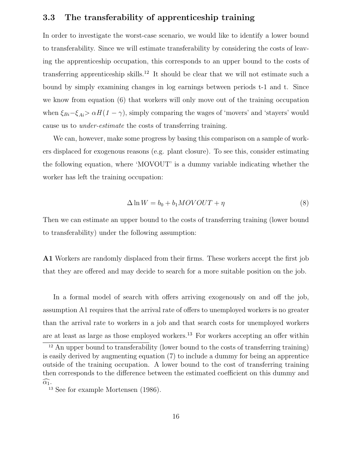### **3.3 The transferability of apprenticeship training**

In order to investigate the worst-case scenario, we would like to identify a lower bound to transferability. Since we will estimate transferability by considering the costs of leaving the apprenticeship occupation, this corresponds to an upper bound to the costs of transferring apprenticeship skills.<sup>12</sup> It should be clear that we will not estimate such a bound by simply examining changes in log earnings between periods t-1 and t. Since we know from equation (6) that workers will only move out of the training occupation when  $\xi_{Bi}-\xi_{Ai}>\alpha H(1-\gamma)$ , simply comparing the wages of 'movers' and 'stayers' would cause us to under-estimate the costs of transferring training.

We can, however, make some progress by basing this comparison on a sample of workers displaced for exogenous reasons (e.g. plant closure). To see this, consider estimating the following equation, where 'MOVOUT' is a dummy variable indicating whether the worker has left the training occupation:

$$
\Delta \ln W = b_0 + b_1 MOVOUT + \eta \tag{8}
$$

Then we can estimate an upper bound to the costs of transferring training (lower bound to transferability) under the following assumption:

**A1** Workers are randomly displaced from their firms. These workers accept the first job that they are offered and may decide to search for a more suitable position on the job.

In a formal model of search with offers arriving exogenously on and off the job, assumption A1 requires that the arrival rate of offers to unemployed workers is no greater than the arrival rate to workers in a job and that search costs for unemployed workers are at least as large as those employed workers.<sup>13</sup> For workers accepting an offer within

 $12$  An upper bound to transferability (lower bound to the costs of transferring training) is easily derived by augmenting equation (7) to include a dummy for being an apprentice outside of the training occupation. A lower bound to the cost of transferring training then corresponds to the difference between the estimated coefficient on this dummy and  $\widehat{\alpha_1}$ .

<sup>13</sup> See for example Mortensen (1986).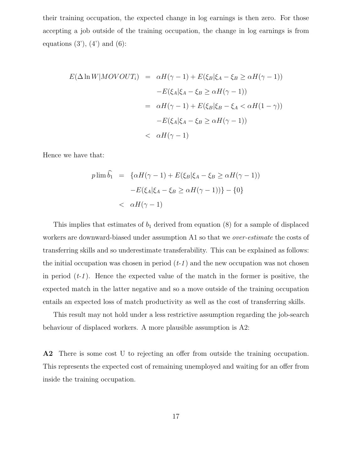their training occupation, the expected change in log earnings is then zero. For those accepting a job outside of the training occupation, the change in log earnings is from equations  $(3')$ ,  $(4')$  and  $(6)$ :

$$
E(\Delta \ln W|MOVOUT_i) = \alpha H(\gamma - 1) + E(\xi_B|\xi_A - \xi_B \ge \alpha H(\gamma - 1))
$$

$$
-E(\xi_A|\xi_A - \xi_B \ge \alpha H(\gamma - 1))
$$

$$
= \alpha H(\gamma - 1) + E(\xi_B|\xi_B - \xi_A < \alpha H(1 - \gamma))
$$

$$
-E(\xi_A|\xi_A - \xi_B \ge \alpha H(\gamma - 1))
$$

$$
< \alpha H(\gamma - 1)
$$

Hence we have that:

$$
p \lim \widehat{b}_1 = \{ \alpha H(\gamma - 1) + E(\xi_B | \xi_A - \xi_B \ge \alpha H(\gamma - 1))
$$

$$
-E(\xi_A | \xi_A - \xi_B \ge \alpha H(\gamma - 1)) \} - \{ 0 \}
$$

$$
< \alpha H(\gamma - 1)
$$

This implies that estimates of  $b_1$  derived from equation (8) for a sample of displaced workers are downward-biased under assumption A1 so that we *over-estimate* the costs of transferring skills and so underestimate transferability. This can be explained as follows: the initial occupation was chosen in period  $(t-1)$  and the new occupation was not chosen in period  $(t-1)$ . Hence the expected value of the match in the former is positive, the expected match in the latter negative and so a move outside of the training occupation entails an expected loss of match productivity as well as the cost of transferring skills.

This result may not hold under a less restrictive assumption regarding the job-search behaviour of displaced workers. A more plausible assumption is A2:

**A2** There is some cost U to rejecting an offer from outside the training occupation. This represents the expected cost of remaining unemployed and waiting for an offer from inside the training occupation.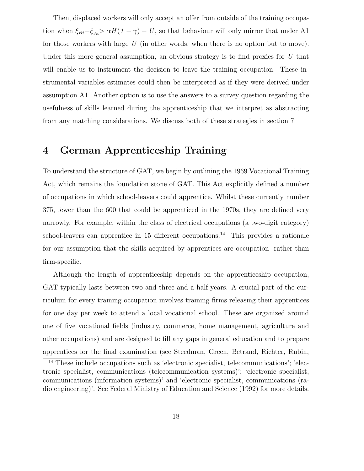Then, displaced workers will only accept an offer from outside of the training occupation when  $\xi_{Bi}-\xi_{Ai} > \alpha H (1-\gamma) - U$ , so that behaviour will only mirror that under A1 for those workers with large  $U$  (in other words, when there is no option but to move). Under this more general assumption, an obvious strategy is to find proxies for  $U$  that will enable us to instrument the decision to leave the training occupation. These instrumental variables estimates could then be interpreted as if they were derived under assumption A1. Another option is to use the answers to a survey question regarding the usefulness of skills learned during the apprenticeship that we interpret as abstracting from any matching considerations. We discuss both of these strategies in section 7.

## **4 German Apprenticeship Training**

To understand the structure of GAT, we begin by outlining the 1969 Vocational Training Act, which remains the foundation stone of GAT. This Act explicitly defined a number of occupations in which school-leavers could apprentice. Whilst these currently number 375, fewer than the 600 that could be apprenticed in the 1970s, they are defined very narrowly. For example, within the class of electrical occupations (a two-digit category) school-leavers can apprentice in 15 different occupations.<sup>14</sup> This provides a rationale for our assumption that the skills acquired by apprentices are occupation- rather than firm-specific.

Although the length of apprenticeship depends on the apprenticeship occupation, GAT typically lasts between two and three and a half years. A crucial part of the curriculum for every training occupation involves training firms releasing their apprentices for one day per week to attend a local vocational school. These are organized around one of five vocational fields (industry, commerce, home management, agriculture and other occupations) and are designed to fill any gaps in general education and to prepare apprentices for the final examination (see Steedman, Green, Betrand, Richter, Rubin,

<sup>&</sup>lt;sup>14</sup> These include occupations such as 'electronic specialist, telecommunications'; 'electronic specialist, communications (telecommunication systems)'; 'electronic specialist, communications (information systems)' and 'electronic specialist, communications (radio engineering)'. See Federal Ministry of Education and Science (1992) for more details.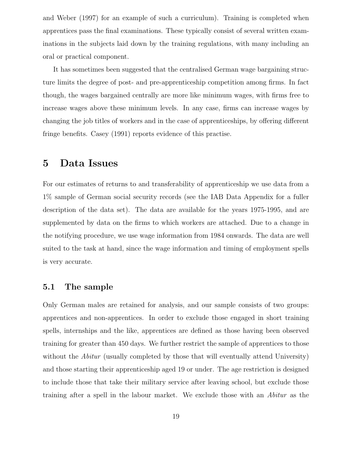and Weber (1997) for an example of such a curriculum). Training is completed when apprentices pass the final examinations. These typically consist of several written examinations in the subjects laid down by the training regulations, with many including an oral or practical component.

It has sometimes been suggested that the centralised German wage bargaining structure limits the degree of post- and pre-apprenticeship competition among firms. In fact though, the wages bargained centrally are more like minimum wages, with firms free to increase wages above these minimum levels. In any case, firms can increase wages by changing the job titles of workers and in the case of apprenticeships, by offering different fringe benefits. Casey (1991) reports evidence of this practise.

### **5 Data Issues**

For our estimates of returns to and transferability of apprenticeship we use data from a 1% sample of German social security records (see the IAB Data Appendix for a fuller description of the data set). The data are available for the years 1975-1995, and are supplemented by data on the firms to which workers are attached. Due to a change in the notifying procedure, we use wage information from 1984 onwards. The data are well suited to the task at hand, since the wage information and timing of employment spells is very accurate.

#### **5.1 The sample**

Only German males are retained for analysis, and our sample consists of two groups: apprentices and non-apprentices. In order to exclude those engaged in short training spells, internships and the like, apprentices are defined as those having been observed training for greater than 450 days. We further restrict the sample of apprentices to those without the *Abitur* (usually completed by those that will eventually attend University) and those starting their apprenticeship aged 19 or under. The age restriction is designed to include those that take their military service after leaving school, but exclude those training after a spell in the labour market. We exclude those with an Abitur as the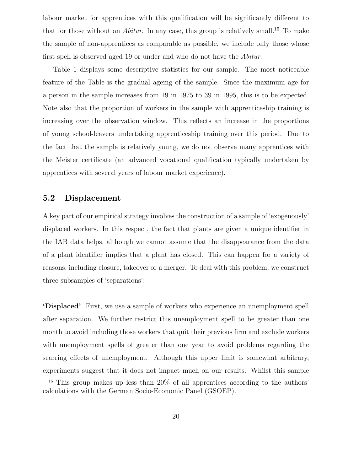labour market for apprentices with this qualification will be significantly different to that for those without an *Abitur*. In any case, this group is relatively small.<sup>15</sup> To make the sample of non-apprentices as comparable as possible, we include only those whose first spell is observed aged 19 or under and who do not have the Abitur.

Table 1 displays some descriptive statistics for our sample. The most noticeable feature of the Table is the gradual ageing of the sample. Since the maximum age for a person in the sample increases from 19 in 1975 to 39 in 1995, this is to be expected. Note also that the proportion of workers in the sample with apprenticeship training is increasing over the observation window. This reflects an increase in the proportions of young school-leavers undertaking apprenticeship training over this period. Due to the fact that the sample is relatively young, we do not observe many apprentices with the Meister certificate (an advanced vocational qualification typically undertaken by apprentices with several years of labour market experience).

#### **5.2 Displacement**

A key part of our empirical strategy involves the construction of a sample of 'exogenously' displaced workers. In this respect, the fact that plants are given a unique identifier in the IAB data helps, although we cannot assume that the disappearance from the data of a plant identifier implies that a plant has closed. This can happen for a variety of reasons, including closure, takeover or a merger. To deal with this problem, we construct three subsamples of 'separations':

**'Displaced'** First, we use a sample of workers who experience an unemployment spell after separation. We further restrict this unemployment spell to be greater than one month to avoid including those workers that quit their previous firm and exclude workers with unemployment spells of greater than one year to avoid problems regarding the scarring effects of unemployment. Although this upper limit is somewhat arbitrary, experiments suggest that it does not impact much on our results. Whilst this sample

<sup>15</sup> This group makes up less than 20% of all apprentices according to the authors' calculations with the German Socio-Economic Panel (GSOEP).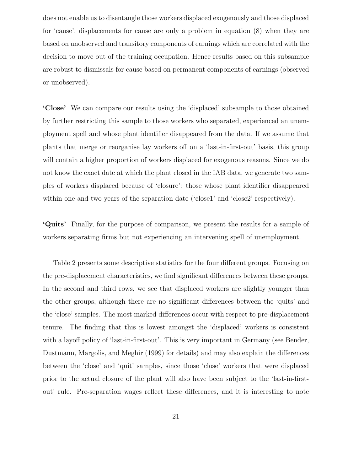does not enable us to disentangle those workers displaced exogenously and those displaced for 'cause', displacements for cause are only a problem in equation (8) when they are based on unobserved and transitory components of earnings which are correlated with the decision to move out of the training occupation. Hence results based on this subsample are robust to dismissals for cause based on permanent components of earnings (observed or unobserved).

**'Close'** We can compare our results using the 'displaced' subsample to those obtained by further restricting this sample to those workers who separated, experienced an unemployment spell and whose plant identifier disappeared from the data. If we assume that plants that merge or reorganise lay workers off on a 'last-in-first-out' basis, this group will contain a higher proportion of workers displaced for exogenous reasons. Since we do not know the exact date at which the plant closed in the IAB data, we generate two samples of workers displaced because of 'closure': those whose plant identifier disappeared within one and two years of the separation date ('close1' and 'close2' respectively).

**'Quits'** Finally, for the purpose of comparison, we present the results for a sample of workers separating firms but not experiencing an intervening spell of unemployment.

Table 2 presents some descriptive statistics for the four different groups. Focusing on the pre-displacement characteristics, we find significant differences between these groups. In the second and third rows, we see that displaced workers are slightly younger than the other groups, although there are no significant differences between the 'quits' and the 'close' samples. The most marked differences occur with respect to pre-displacement tenure. The finding that this is lowest amongst the 'displaced' workers is consistent with a layoff policy of 'last-in-first-out'. This is very important in Germany (see Bender, Dustmann, Margolis, and Meghir (1999) for details) and may also explain the differences between the 'close' and 'quit' samples, since those 'close' workers that were displaced prior to the actual closure of the plant will also have been subject to the 'last-in-firstout' rule. Pre-separation wages reflect these differences, and it is interesting to note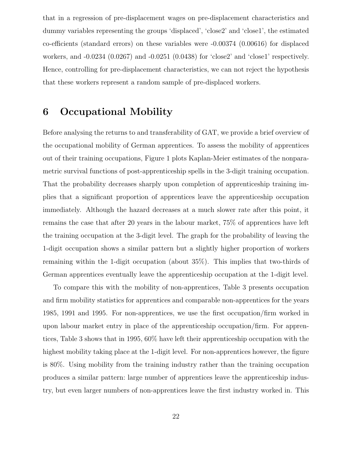that in a regression of pre-displacement wages on pre-displacement characteristics and dummy variables representing the groups 'displaced', 'close2' and 'close1', the estimated co-efficients (standard errors) on these variables were -0.00374 (0.00616) for displaced workers, and -0.0234 (0.0267) and -0.0251 (0.0438) for 'close2' and 'close1' respectively. Hence, controlling for pre-displacement characteristics, we can not reject the hypothesis that these workers represent a random sample of pre-displaced workers.

## **6 Occupational Mobility**

Before analysing the returns to and transferability of GAT, we provide a brief overview of the occupational mobility of German apprentices. To assess the mobility of apprentices out of their training occupations, Figure 1 plots Kaplan-Meier estimates of the nonparametric survival functions of post-apprenticeship spells in the 3-digit training occupation. That the probability decreases sharply upon completion of apprenticeship training implies that a significant proportion of apprentices leave the apprenticeship occupation immediately. Although the hazard decreases at a much slower rate after this point, it remains the case that after 20 years in the labour market, 75% of apprentices have left the training occupation at the 3-digit level. The graph for the probability of leaving the 1-digit occupation shows a similar pattern but a slightly higher proportion of workers remaining within the 1-digit occupation (about 35%). This implies that two-thirds of German apprentices eventually leave the apprenticeship occupation at the 1-digit level.

To compare this with the mobility of non-apprentices, Table 3 presents occupation and firm mobility statistics for apprentices and comparable non-apprentices for the years 1985, 1991 and 1995. For non-apprentices, we use the first occupation/firm worked in upon labour market entry in place of the apprenticeship occupation/firm. For apprentices, Table 3 shows that in 1995, 60% have left their apprenticeship occupation with the highest mobility taking place at the 1-digit level. For non-apprentices however, the figure is 80%. Using mobility from the training industry rather than the training occupation produces a similar pattern: large number of apprentices leave the apprenticeship industry, but even larger numbers of non-apprentices leave the first industry worked in. This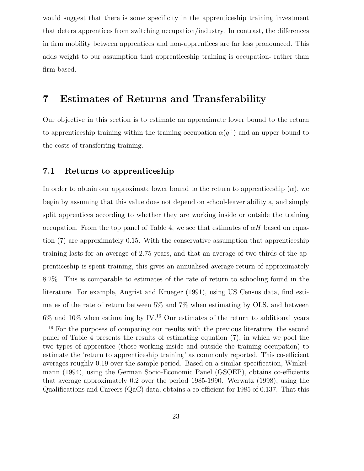would suggest that there is some specificity in the apprenticeship training investment that deters apprentices from switching occupation/industry. In contrast, the differences in firm mobility between apprentices and non-apprentices are far less pronounced. This adds weight to our assumption that apprenticeship training is occupation- rather than firm-based.

# **7 Estimates of Returns and Transferability**

Our objective in this section is to estimate an approximate lower bound to the return to apprenticeship training within the training occupation  $\alpha(q^+)$  and an upper bound to the costs of transferring training.

#### **7.1 Returns to apprenticeship**

In order to obtain our approximate lower bound to the return to apprenticeship  $(\alpha)$ , we begin by assuming that this value does not depend on school-leaver ability a, and simply split apprentices according to whether they are working inside or outside the training occupation. From the top panel of Table 4, we see that estimates of  $\alpha H$  based on equation (7) are approximately 0.15. With the conservative assumption that apprenticeship training lasts for an average of 2.75 years, and that an average of two-thirds of the apprenticeship is spent training, this gives an annualised average return of approximately 8.2%. This is comparable to estimates of the rate of return to schooling found in the literature. For example, Angrist and Krueger (1991), using US Census data, find estimates of the rate of return between 5% and 7% when estimating by OLS, and between  $6\%$  and  $10\%$  when estimating by IV.<sup>16</sup> Our estimates of the return to additional years

<sup>&</sup>lt;sup>16</sup> For the purposes of comparing our results with the previous literature, the second panel of Table 4 presents the results of estimating equation (7), in which we pool the two types of apprentice (those working inside and outside the training occupation) to estimate the 'return to apprenticeship training' as commonly reported. This co-efficient averages roughly 0.19 over the sample period. Based on a similar specification, Winkelmann (1994), using the German Socio-Economic Panel (GSOEP), obtains co-efficients that average approximately 0.2 over the period 1985-1990. Werwatz (1998), using the Qualifications and Careers (QaC) data, obtains a co-efficient for 1985 of 0.137. That this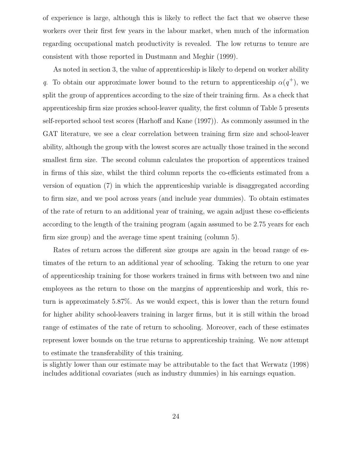of experience is large, although this is likely to reflect the fact that we observe these workers over their first few years in the labour market, when much of the information regarding occupational match productivity is revealed. The low returns to tenure are consistent with those reported in Dustmann and Meghir (1999).

As noted in section 3, the value of apprenticeship is likely to depend on worker ability q. To obtain our approximate lower bound to the return to apprenticeship  $\alpha(q^+)$ , we split the group of apprentices according to the size of their training firm. As a check that apprenticeship firm size proxies school-leaver quality, the first column of Table 5 presents self-reported school test scores (Harhoff and Kane (1997)). As commonly assumed in the GAT literature, we see a clear correlation between training firm size and school-leaver ability, although the group with the lowest scores are actually those trained in the second smallest firm size. The second column calculates the proportion of apprentices trained in firms of this size, whilst the third column reports the co-efficients estimated from a version of equation (7) in which the apprenticeship variable is disaggregated according to firm size, and we pool across years (and include year dummies). To obtain estimates of the rate of return to an additional year of training, we again adjust these co-efficients according to the length of the training program (again assumed to be 2.75 years for each firm size group) and the average time spent training (column 5).

Rates of return across the different size groups are again in the broad range of estimates of the return to an additional year of schooling. Taking the return to one year of apprenticeship training for those workers trained in firms with between two and nine employees as the return to those on the margins of apprenticeship and work, this return is approximately 5.87%. As we would expect, this is lower than the return found for higher ability school-leavers training in larger firms, but it is still within the broad range of estimates of the rate of return to schooling. Moreover, each of these estimates represent lower bounds on the true returns to apprenticeship training. We now attempt to estimate the transferability of this training.

is slightly lower than our estimate may be attributable to the fact that Werwatz (1998) includes additional covariates (such as industry dummies) in his earnings equation.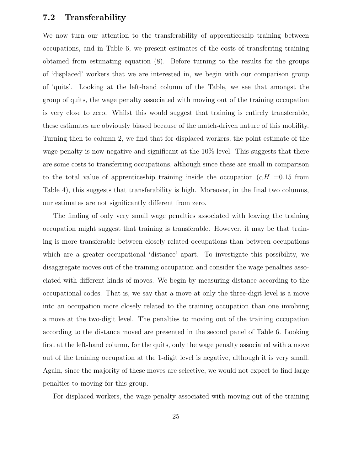#### **7.2 Transferability**

We now turn our attention to the transferability of apprenticeship training between occupations, and in Table 6, we present estimates of the costs of transferring training obtained from estimating equation (8). Before turning to the results for the groups of 'displaced' workers that we are interested in, we begin with our comparison group of 'quits'. Looking at the left-hand column of the Table, we see that amongst the group of quits, the wage penalty associated with moving out of the training occupation is very close to zero. Whilst this would suggest that training is entirely transferable, these estimates are obviously biased because of the match-driven nature of this mobility. Turning then to column 2, we find that for displaced workers, the point estimate of the wage penalty is now negative and significant at the  $10\%$  level. This suggests that there are some costs to transferring occupations, although since these are small in comparison to the total value of apprenticeship training inside the occupation ( $\alpha H = 0.15$  from Table 4), this suggests that transferability is high. Moreover, in the final two columns, our estimates are not significantly different from zero.

The finding of only very small wage penalties associated with leaving the training occupation might suggest that training is transferable. However, it may be that training is more transferable between closely related occupations than between occupations which are a greater occupational 'distance' apart. To investigate this possibility, we disaggregate moves out of the training occupation and consider the wage penalties associated with different kinds of moves. We begin by measuring distance according to the occupational codes. That is, we say that a move at only the three-digit level is a move into an occupation more closely related to the training occupation than one involving a move at the two-digit level. The penalties to moving out of the training occupation according to the distance moved are presented in the second panel of Table 6. Looking first at the left-hand column, for the quits, only the wage penalty associated with a move out of the training occupation at the 1-digit level is negative, although it is very small. Again, since the majority of these moves are selective, we would not expect to find large penalties to moving for this group.

For displaced workers, the wage penalty associated with moving out of the training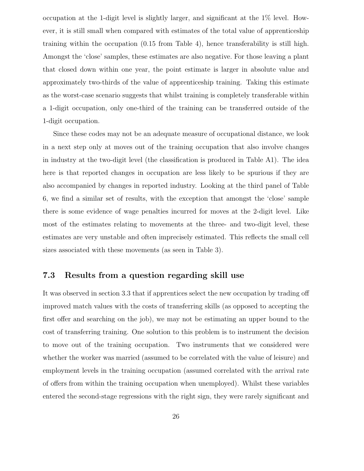occupation at the 1-digit level is slightly larger, and significant at the 1% level. However, it is still small when compared with estimates of the total value of apprenticeship training within the occupation (0.15 from Table 4), hence transferability is still high. Amongst the 'close' samples, these estimates are also negative. For those leaving a plant that closed down within one year, the point estimate is larger in absolute value and approximately two-thirds of the value of apprenticeship training. Taking this estimate as the worst-case scenario suggests that whilst training is completely transferable within a 1-digit occupation, only one-third of the training can be transferred outside of the 1-digit occupation.

Since these codes may not be an adequate measure of occupational distance, we look in a next step only at moves out of the training occupation that also involve changes in industry at the two-digit level (the classification is produced in Table A1). The idea here is that reported changes in occupation are less likely to be spurious if they are also accompanied by changes in reported industry. Looking at the third panel of Table 6, we find a similar set of results, with the exception that amongst the 'close' sample there is some evidence of wage penalties incurred for moves at the 2-digit level. Like most of the estimates relating to movements at the three- and two-digit level, these estimates are very unstable and often imprecisely estimated. This reflects the small cell sizes associated with these movements (as seen in Table 3).

#### **7.3 Results from a question regarding skill use**

It was observed in section 3.3 that if apprentices select the new occupation by trading off improved match values with the costs of transferring skills (as opposed to accepting the first offer and searching on the job), we may not be estimating an upper bound to the cost of transferring training. One solution to this problem is to instrument the decision to move out of the training occupation. Two instruments that we considered were whether the worker was married (assumed to be correlated with the value of leisure) and employment levels in the training occupation (assumed correlated with the arrival rate of offers from within the training occupation when unemployed). Whilst these variables entered the second-stage regressions with the right sign, they were rarely significant and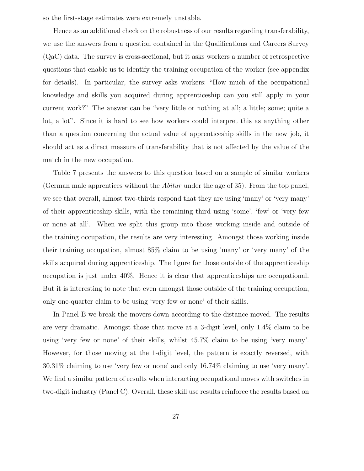so the first-stage estimates were extremely unstable.

Hence as an additional check on the robustness of our results regarding transferability, we use the answers from a question contained in the Qualifications and Careers Survey (QaC) data. The survey is cross-sectional, but it asks workers a number of retrospective questions that enable us to identify the training occupation of the worker (see appendix for details). In particular, the survey asks workers: "How much of the occupational knowledge and skills you acquired during apprenticeship can you still apply in your current work?" The answer can be "very little or nothing at all; a little; some; quite a lot, a lot". Since it is hard to see how workers could interpret this as anything other than a question concerning the actual value of apprenticeship skills in the new job, it should act as a direct measure of transferability that is not affected by the value of the match in the new occupation.

Table 7 presents the answers to this question based on a sample of similar workers (German male apprentices without the Abitur under the age of 35). From the top panel, we see that overall, almost two-thirds respond that they are using 'many' or 'very many' of their apprenticeship skills, with the remaining third using 'some', 'few' or 'very few or none at all'. When we split this group into those working inside and outside of the training occupation, the results are very interesting. Amongst those working inside their training occupation, almost 85% claim to be using 'many' or 'very many' of the skills acquired during apprenticeship. The figure for those outside of the apprenticeship occupation is just under 40%. Hence it is clear that apprenticeships are occupational. But it is interesting to note that even amongst those outside of the training occupation, only one-quarter claim to be using 'very few or none' of their skills.

In Panel B we break the movers down according to the distance moved. The results are very dramatic. Amongst those that move at a 3-digit level, only 1.4% claim to be using 'very few or none' of their skills, whilst 45.7% claim to be using 'very many'. However, for those moving at the 1-digit level, the pattern is exactly reversed, with 30.31% claiming to use 'very few or none' and only 16.74% claiming to use 'very many'. We find a similar pattern of results when interacting occupational moves with switches in two-digit industry (Panel C). Overall, these skill use results reinforce the results based on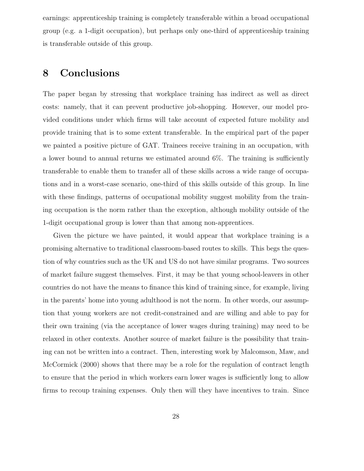earnings: apprenticeship training is completely transferable within a broad occupational group (e.g. a 1-digit occupation), but perhaps only one-third of apprenticeship training is transferable outside of this group.

## **8 Conclusions**

The paper began by stressing that workplace training has indirect as well as direct costs: namely, that it can prevent productive job-shopping. However, our model provided conditions under which firms will take account of expected future mobility and provide training that is to some extent transferable. In the empirical part of the paper we painted a positive picture of GAT. Trainees receive training in an occupation, with a lower bound to annual returns we estimated around 6%. The training is sufficiently transferable to enable them to transfer all of these skills across a wide range of occupations and in a worst-case scenario, one-third of this skills outside of this group. In line with these findings, patterns of occupational mobility suggest mobility from the training occupation is the norm rather than the exception, although mobility outside of the 1-digit occupational group is lower than that among non-apprentices.

Given the picture we have painted, it would appear that workplace training is a promising alternative to traditional classroom-based routes to skills. This begs the question of why countries such as the UK and US do not have similar programs. Two sources of market failure suggest themselves. First, it may be that young school-leavers in other countries do not have the means to finance this kind of training since, for example, living in the parents' home into young adulthood is not the norm. In other words, our assumption that young workers are not credit-constrained and are willing and able to pay for their own training (via the acceptance of lower wages during training) may need to be relaxed in other contexts. Another source of market failure is the possibility that training can not be written into a contract. Then, interesting work by Malcomson, Maw, and McCormick (2000) shows that there may be a role for the regulation of contract length to ensure that the period in which workers earn lower wages is sufficiently long to allow firms to recoup training expenses. Only then will they have incentives to train. Since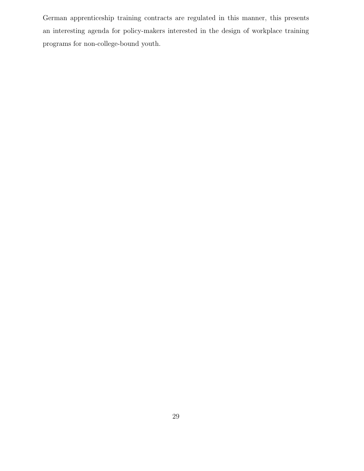German apprenticeship training contracts are regulated in this manner, this presents an interesting agenda for policy-makers interested in the design of workplace training programs for non-college-bound youth.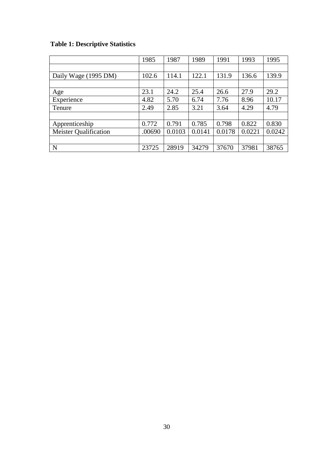# **Table 1: Descriptive Statistics**

|                              | 1985   | 1987   | 1989   | 1991   | 1993   | 1995   |
|------------------------------|--------|--------|--------|--------|--------|--------|
|                              |        |        |        |        |        |        |
| Daily Wage (1995 DM)         | 102.6  | 114.1  | 122.1  | 131.9  | 136.6  | 139.9  |
|                              |        |        |        |        |        |        |
| Age                          | 23.1   | 24.2   | 25.4   | 26.6   | 27.9   | 29.2   |
| Experience                   | 4.82   | 5.70   | 6.74   | 7.76   | 8.96   | 10.17  |
| Tenure                       | 2.49   | 2.85   | 3.21   | 3.64   | 4.29   | 4.79   |
|                              |        |        |        |        |        |        |
| Apprenticeship               | 0.772  | 0.791  | 0.785  | 0.798  | 0.822  | 0.830  |
| <b>Meister Qualification</b> | .00690 | 0.0103 | 0.0141 | 0.0178 | 0.0221 | 0.0242 |
|                              |        |        |        |        |        |        |
| N                            | 23725  | 28919  | 34279  | 37670  | 37981  | 38765  |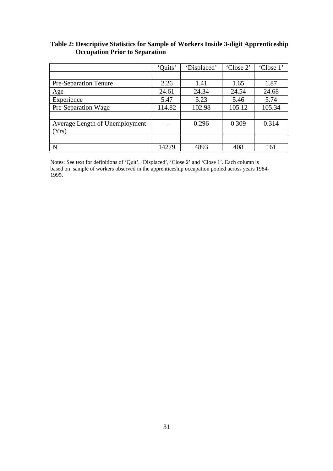### **Table 2: Descriptive Statistics for Sample of Workers Inside 3-digit Apprenticeship Occupation Prior to Separation**

|                                | 'Ouits' | 'Displaced' | 'Close 2' | 'Close 1' |
|--------------------------------|---------|-------------|-----------|-----------|
|                                |         |             |           |           |
| <b>Pre-Separation Tenure</b>   | 2.26    | 1.41        | 1.65      | 1.87      |
| Age                            | 24.61   | 24.34       | 24.54     | 24.68     |
| Experience                     | 5.47    | 5.23        | 5.46      | 5.74      |
| Pre-Separation Wage            | 114.82  | 102.98      | 105.12    | 105.34    |
|                                |         |             |           |           |
| Average Length of Unemployment |         | 0.296       | 0.309     | 0.314     |
| Yrs)                           |         |             |           |           |
|                                |         |             |           |           |
| N                              | 14279   | 4893        | 408       | 161       |

Notes: See text for definitions of 'Quit', 'Displaced', 'Close 2' and 'Close 1'. Each column is based on sample of workers observed in the apprenticeship occupation pooled across years 1984- 1995.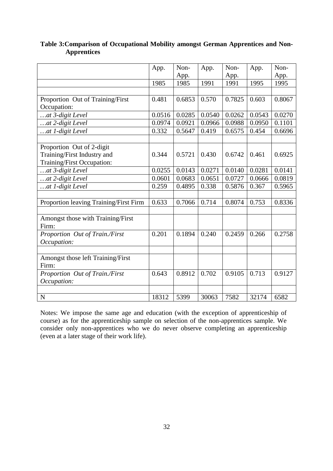|                                        | App.   | Non-<br>App. | App.   | Non-<br>App. | App.   | Non-<br>App. |
|----------------------------------------|--------|--------------|--------|--------------|--------|--------------|
|                                        | 1985   | 1985         | 1991   | 1991         | 1995   | 1995         |
|                                        |        |              |        |              |        |              |
| Proportion Out of Training/First       | 0.481  | 0.6853       | 0.570  | 0.7825       | 0.603  | 0.8067       |
| Occupation:                            |        |              |        |              |        |              |
| at 3-digit Level                       | 0.0516 | 0.0285       | 0.0540 | 0.0262       | 0.0543 | 0.0270       |
| at 2-digit Level                       | 0.0974 | 0.0921       | 0.0966 | 0.0988       | 0.0950 | 0.1101       |
| at 1-digit Level                       | 0.332  | 0.5647       | 0.419  | 0.6575       | 0.454  | 0.6696       |
|                                        |        |              |        |              |        |              |
| Proportion Out of 2-digit              |        |              |        |              |        |              |
| Training/First Industry and            | 0.344  | 0.5721       | 0.430  | 0.6742       | 0.461  | 0.6925       |
| Training/First Occupation:             |        |              |        |              |        |              |
| at 3-digit Level                       | 0.0255 | 0.0143       | 0.0271 | 0.0140       | 0.0281 | 0.0141       |
| at 2-digit Level                       | 0.0601 | 0.0683       | 0.0651 | 0.0727       | 0.0666 | 0.0819       |
| at 1-digit Level                       | 0.259  | 0.4895       | 0.338  | 0.5876       | 0.367  | 0.5965       |
|                                        |        |              |        |              |        |              |
| Proportion leaving Training/First Firm | 0.633  | 0.7066       | 0.714  | 0.8074       | 0.753  | 0.8336       |
|                                        |        |              |        |              |        |              |
| Amongst those with Training/First      |        |              |        |              |        |              |
| Firm:                                  |        |              |        |              |        |              |
| Proportion Out of Train./First         | 0.201  | 0.1894       | 0.240  | 0.2459       | 0.266  | 0.2758       |
| Occupation:                            |        |              |        |              |        |              |
|                                        |        |              |        |              |        |              |
| Amongst those left Training/First      |        |              |        |              |        |              |
| Firm:                                  |        |              |        |              |        |              |
| Proportion Out of Train./First         | 0.643  | 0.8912       | 0.702  | 0.9105       | 0.713  | 0.9127       |
| Occupation:                            |        |              |        |              |        |              |
|                                        |        |              |        |              |        |              |
| $\mathbf N$                            | 18312  | 5399         | 30063  | 7582         | 32174  | 6582         |

**Table 3:Comparison of Occupational Mobility amongst German Apprentices and Non-Apprentices** 

Notes: We impose the same age and education (with the exception of apprenticeship of course) as for the apprenticeship sample on selection of the non-apprentices sample. We consider only non-apprentices who we do never observe completing an apprenticeship (even at a later stage of their work life).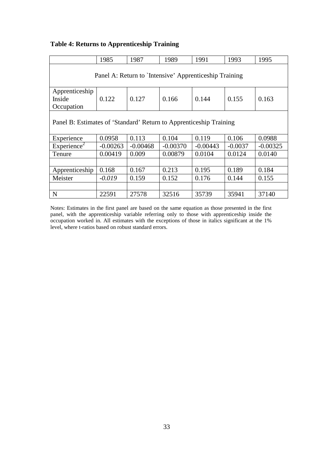### **Table 4: Returns to Apprenticeship Training**

|                                                                    | 1985       | 1987       | 1989       | 1991       | 1993      | 1995       |
|--------------------------------------------------------------------|------------|------------|------------|------------|-----------|------------|
| Panel A: Return to `Intensive' Apprenticeship Training             |            |            |            |            |           |            |
| Apprenticeship<br>Inside<br>Occupation                             | 0.122      | 0.127      | 0.166      | 0.144      | 0.155     | 0.163      |
| Panel B: Estimates of 'Standard' Return to Apprenticeship Training |            |            |            |            |           |            |
| Experience                                                         | 0.0958     | 0.113      | 0.104      | 0.119      | 0.106     | 0.0988     |
| Experience <sup>2</sup>                                            | $-0.00263$ | $-0.00468$ | $-0.00370$ | $-0.00443$ | $-0.0037$ | $-0.00325$ |
| Tenure                                                             | 0.00419    | 0.009      | 0.00879    | 0.0104     | 0.0124    | 0.0140     |
|                                                                    |            |            |            |            |           |            |
| Apprenticeship                                                     | 0.168      | 0.167      | 0.213      | 0.195      | 0.189     | 0.184      |
| Meister                                                            | $-0.019$   | 0.159      | 0.152      | 0.176      | 0.144     | 0.155      |
|                                                                    |            |            |            |            |           |            |
| N                                                                  | 22591      | 27578      | 32516      | 35739      | 35941     | 37140      |

Notes: Estimates in the first panel are based on the same equation as those presented in the first panel, with the apprenticeship variable referring only to those with apprenticeship inside the occupation worked in. All estimates with the exceptions of those in italics significant at the 1% level, where t-ratios based on robust standard errors.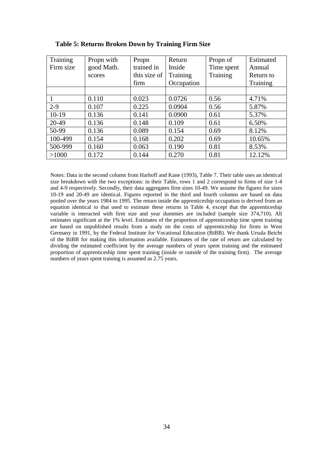| Training  | Propn with | Propn        | Return     | Propn of   | Estimated |
|-----------|------------|--------------|------------|------------|-----------|
| Firm size | good Math. | trained in   | Inside     | Time spent | Annual    |
|           | scores     | this size of | Training   | Training   | Return to |
|           |            | firm         | Occupation |            | Training  |
|           |            |              |            |            |           |
|           | 0.110      | 0.023        | 0.0726     | 0.56       | 4.71%     |
| $2 - 9$   | 0.107      | 0.225        | 0.0904     | 0.56       | 5.87%     |
| $10-19$   | 0.136      | 0.141        | 0.0900     | 0.61       | 5.37%     |
| $20-49$   | 0.136      | 0.148        | 0.109      | 0.61       | 6.50%     |
| 50-99     | 0.136      | 0.089        | 0.154      | 0.69       | 8.12%     |
| 100-499   | 0.154      | 0.168        | 0.202      | 0.69       | 10.65%    |
| 500-999   | 0.160      | 0.063        | 0.190      | 0.81       | 8.53%     |
| >1000     | 0.172      | 0.144        | 0.270      | 0.81       | 12.12%    |

**Table 5: Returns Broken Down by Training Firm Size** 

Notes: Data in the second column from Harhoff and Kane (1993), Table 7. Their table uses an identical size breakdown with the two exceptions: in their Table, rows 1 and 2 correspond to firms of size 1-4 and 4-9 respectively. Secondly, their data aggregates firm sizes 10-49. We assume the figures for sizes 10-19 and 20-49 are identical. Figures reported in the third and fourth columns are based on data pooled over the years 1984 to 1995. The return inside the apprenticeship occupation is derived from an equation identical to that used to estimate these returns in Table 4, except that the apprenticeship variable is interacted with firm size and year dummies are included (sample size 374,710). All estimates significant at the 1% level. Estimates of the proportion of apprenticeship time spent training are based on unpublished results from a study on the costs of apprenticeship for firms in West Germany in 1991, by the Federal Institute for Vocational Education (BiBB). We thank Ursula Beicht of the BiBB for making this information available. Estimates of the rate of return are calculated by dividing the estimated coefficient by the average numbers of years spent training and the estimated proportion of apprenticeship time spent training (inside or outside of the training firm). The average numbers of years spent training is assumed as 2.75 years.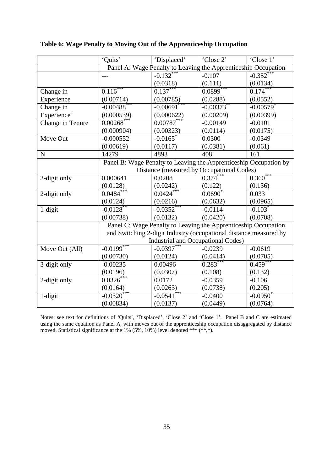|                         | 'Quits'                  | 'Displaced'                                                       | 'Close 2'   | 'Close 1'               |
|-------------------------|--------------------------|-------------------------------------------------------------------|-------------|-------------------------|
|                         |                          | Panel A: Wage Penalty to Leaving the Apprenticeship Occupation    |             |                         |
|                         | $ -$                     | $-0.132$ <sup>*</sup>                                             | $-0.107$    | $-0.352$ <sup>*</sup>   |
|                         |                          | (0.0318)                                                          | (0.111)     | (0.0134)                |
| Change in               | $0.1\overline{16}^{***}$ | $0.137***$                                                        | $0.0899***$ | 0.174                   |
| Experience              | (0.00714)                | (0.00785)                                                         | (0.0288)    | (0.0552)                |
| Change in               | $-0.00488$               | $-0.00691$                                                        | $-0.00373$  | $-0.00579$ <sup>*</sup> |
| Experience <sup>2</sup> | (0.000539)               | (0.000622)                                                        | (0.00209)   | (0.00399)               |
| Change in Tenure        | 0.00268                  | 0.00787                                                           | $-0.00149$  | $-0.0101$               |
|                         | (0.000904)               | (0.00323)                                                         | (0.0114)    | (0.0175)                |
| Move Out                | $-0.000552$              | $-0.0165$ <sup>*</sup>                                            | 0.0300      | $-0.0349$               |
|                         | (0.00619)                | (0.0117)                                                          | (0.0381)    | (0.061)                 |
| $\mathbf N$             | 14279                    | 4893                                                              | 408         | 161                     |
|                         |                          | Panel B: Wage Penalty to Leaving the Apprenticeship Occupation by |             |                         |
|                         |                          | Distance (measured by Occupational Codes)                         |             |                         |
| 3-digit only            | 0.000641                 | 0.0208                                                            | 0.374       | $0.360***$              |
|                         | (0.0128)                 | (0.0242)                                                          | (0.122)     | (0.136)                 |
| 2-digit only            | $0.0484**$               | $0.0424$ <sup>*</sup>                                             | 0.0690      | 0.033                   |
|                         | (0.0124)                 | (0.0216)                                                          | (0.0632)    | (0.0965)                |
| 1-digit                 | $-0.0128$ **             | $-0.0352$ <sup>*</sup>                                            | $-0.0114$   | $-0.103$                |
|                         | (0.00738)                | (0.0132)                                                          | (0.0420)    | (0.0708)                |
|                         |                          | Panel C: Wage Penalty to Leaving the Apprenticeship Occupation    |             |                         |
|                         |                          | and Switching 2-digit Industry (occupational distance measured by |             |                         |
|                         |                          | <b>Industrial and Occupational Codes)</b>                         |             |                         |
| Move Out (All)          | $-0.0199$ <sup>**</sup>  | $-0.0397***$                                                      | $-0.0239$   | $-0.0619$               |
|                         | (0.00730)                | (0.0124)                                                          | (0.0414)    | (0.0705)                |
| 3-digit only            | $-0.00235$               | 0.00496                                                           | $0.283***$  | $0.459**$               |
|                         | (0.0196)                 | (0.0307)                                                          | (0.108)     | (0.132)                 |
| 2-digit only            | $0.0326^*$               | 0.0172                                                            | $-0.0359$   | $-0.106$                |
|                         | (0.0164)                 | (0.0263)                                                          | (0.0738)    | (0.205)                 |
| 1-digit                 | $-0.0320$                | $-0.0541$                                                         | $-0.0400$   | $-0.0950$               |
|                         | (0.00834)                | (0.0137)                                                          | (0.0449)    | (0.0764)                |

**Table 6: Wage Penalty to Moving Out of the Apprenticeship Occupation** 

Notes: see text for definitions of 'Quits', 'Displaced', 'Close 2' and 'Close 1'. Panel B and C are estimated using the same equation as Panel A, with moves out of the apprenticeship occupation disaggregated by distance moved. Statistical significance at the 1% (5%, 10%) level denoted \*\*\* (\*\*,\*).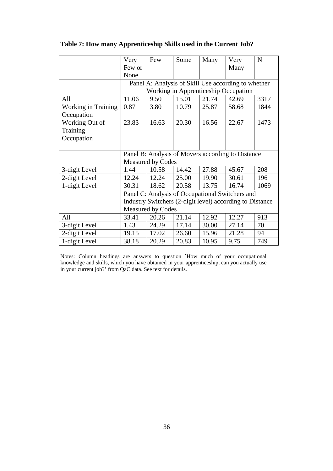|                     | Very   | Few                      | Some  | Many  | Very                                                     | $\mathbf N$ |
|---------------------|--------|--------------------------|-------|-------|----------------------------------------------------------|-------------|
|                     | Few or |                          |       |       | Many                                                     |             |
|                     | None   |                          |       |       |                                                          |             |
|                     |        |                          |       |       | Panel A: Analysis of Skill Use according to whether      |             |
|                     |        |                          |       |       | Working in Apprenticeship Occupation                     |             |
| All                 | 11.06  | 9.50                     | 15.01 | 21.74 | 42.69                                                    | 3317        |
| Working in Training | 0.87   | 3.80                     | 10.79 | 25.87 | 58.68                                                    | 1844        |
| Occupation          |        |                          |       |       |                                                          |             |
| Working Out of      | 23.83  | 16.63                    | 20.30 | 16.56 | 22.67                                                    | 1473        |
| Training            |        |                          |       |       |                                                          |             |
| Occupation          |        |                          |       |       |                                                          |             |
|                     |        |                          |       |       |                                                          |             |
|                     |        |                          |       |       |                                                          |             |
|                     |        |                          |       |       | Panel B: Analysis of Movers according to Distance        |             |
|                     |        | <b>Measured by Codes</b> |       |       |                                                          |             |
| 3-digit Level       | 1.44   | 10.58                    | 14.42 | 27.88 | 45.67                                                    | 208         |
| 2-digit Level       | 12.24  | 12.24                    | 25.00 | 19.90 | 30.61                                                    | 196         |
| 1-digit Level       | 30.31  | 18.62                    | 20.58 | 13.75 | 16.74                                                    | 1069        |
|                     |        |                          |       |       | Panel C: Analysis of Occupational Switchers and          |             |
|                     |        |                          |       |       | Industry Switchers (2-digit level) according to Distance |             |
|                     |        | <b>Measured by Codes</b> |       |       |                                                          |             |
| All                 | 33.41  | 20.26                    | 21.14 | 12.92 | 12.27                                                    | 913         |
| 3-digit Level       | 1.43   | 24.29                    | 17.14 | 30.00 | 27.14                                                    | 70          |
| 2-digit Level       | 19.15  | 17.02                    | 26.60 | 15.96 | 21.28                                                    | 94          |

**Table 7: How many Apprenticeship Skills used in the Current Job?** 

Notes: Column headings are answers to question `How much of your occupational knowledge and skills, which you have obtained in your apprenticeship, can you actually use in your current job?' from QaC data. See text for details.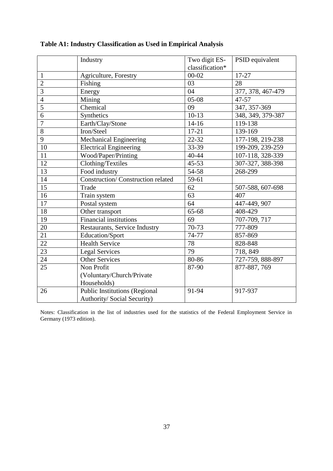|                 | Industry                                 | Two digit ES-   | PSID equivalent   |
|-----------------|------------------------------------------|-----------------|-------------------|
|                 |                                          | classification* |                   |
| 1               | Agriculture, Forestry                    | $00 - 02$       | 17-27             |
| $\overline{2}$  | Fishing                                  | 03              | 28                |
| $\overline{3}$  | Energy                                   | 04              | 377, 378, 467-479 |
| $\overline{4}$  | Mining                                   | $05-08$         | $47 - 57$         |
| $\overline{5}$  | Chemical                                 | 09              | 347, 357-369      |
| $\overline{6}$  | Synthetics                               | $10-13$         | 348, 349, 379-387 |
| $\overline{7}$  | Earth/Clay/Stone                         | $14 - 16$       | 119-138           |
| 8               | Iron/Steel                               | $17 - 21$       | 139-169           |
| 9               | Mechanical Engineering                   | 22-32           | 177-198, 219-238  |
| 10              | <b>Electrical Engineering</b>            | 33-39           | 199-209, 239-259  |
| 11              | Wood/Paper/Printing                      | 40-44           | 107-118, 328-339  |
| 12              | Clothing/Textiles                        | $45 - 53$       | 307-327, 388-398  |
| 13              | Food industry                            | 54-58           | 268-299           |
| $\overline{14}$ | <b>Construction/Construction related</b> | 59-61           |                   |
| 15              | Trade                                    | 62              | 507-588, 607-698  |
| 16              | Train system                             | 63              | 407               |
| 17              | Postal system                            | 64              | 447-449, 907      |
| 18              | Other transport                          | 65-68           | 408-429           |
| 19              | <b>Financial institutions</b>            | 69              | 707-709, 717      |
| 20              | Restaurants, Service Industry            | 70-73           | 777-809           |
| 21              | Education/Sport                          | 74-77           | 857-869           |
| 22              | <b>Health Service</b>                    | 78              | 828-848           |
| $\overline{23}$ | <b>Legal Services</b>                    | $\overline{79}$ | 718, 849          |
| 24              | <b>Other Services</b>                    | 80-86           | 727-759, 888-897  |
| 25              | Non Profit                               | 87-90           | 877-887, 769      |
|                 | (Voluntary/Church/Private                |                 |                   |
|                 | Households)                              |                 |                   |
| 26              | <b>Public Institutions (Regional</b>     | 91-94           | 917-937           |
|                 | Authority/ Social Security)              |                 |                   |

### **Table A1: Industry Classification as Used in Empirical Analysis**

Notes: Classification in the list of industries used for the statistics of the Federal Employment Service in Germany (1973 edition).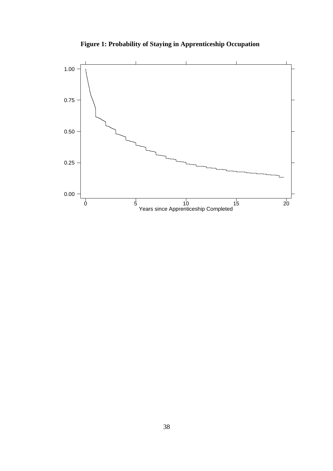

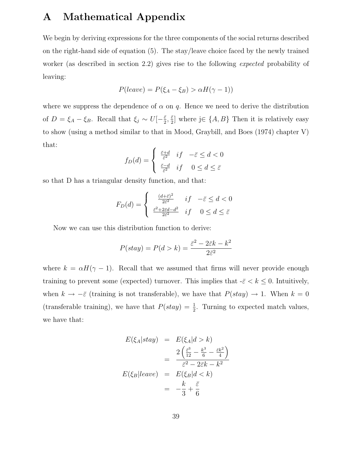# **A Mathematical Appendix**

We begin by deriving expressions for the three components of the social returns described on the right-hand side of equation (5). The stay/leave choice faced by the newly trained worker (as described in section 2.2) gives rise to the following expected probability of leaving:

$$
P(leave) = P(\xi_A - \xi_B) > \alpha H(\gamma - 1))
$$

where we suppress the dependence of  $\alpha$  on q. Hence we need to derive the distribution of  $D = \xi_A - \xi_B$ . Recall that  $\xi_j \sim U[-\frac{\bar{\varepsilon}}{2}, \frac{\bar{\varepsilon}}{2}]$  where j∈  $\{A, B\}$  Then it is relatively easy to show (using a method similar to that in Mood, Graybill, and Boes (1974) chapter V) that:

$$
f_D(d) = \begin{cases} \frac{\bar{\varepsilon} + d}{\bar{\varepsilon}^2} & \text{if } -\bar{\varepsilon} \le d < 0\\ \frac{\bar{\varepsilon} - d}{\bar{\varepsilon}^2} & \text{if } 0 \le d \le \bar{\varepsilon} \end{cases}
$$

so that D has a triangular density function, and that:

$$
F_D(d) = \begin{cases} \frac{(d+\bar{\varepsilon})^2}{2\bar{\varepsilon}^2} & \text{if } -\bar{\varepsilon} \le d < 0\\ \frac{\bar{\varepsilon}^2 + 2\bar{\varepsilon}d - d^2}{2\bar{\varepsilon}^2} & \text{if } 0 \le d \le \bar{\varepsilon} \end{cases}
$$

Now we can use this distribution function to derive:

$$
P(stay) = P(d > k) = \frac{\bar{\varepsilon}^2 - 2\bar{\varepsilon}k - k^2}{2\bar{\varepsilon}^2}
$$

where  $k = \alpha H(\gamma - 1)$ . Recall that we assumed that firms will never provide enough training to prevent some (expected) turnover. This implies that  $-\bar{\varepsilon} < k \leq 0$ . Intuitively, when  $k \to -\bar{\varepsilon}$  (training is not transferable), we have that  $P(stay) \to 1$ . When  $k = 0$ (transferable training), we have that  $P(stay) = \frac{1}{2}$ . Turning to expected match values, we have that:

$$
E(\xi_A|stay) = E(\xi_A|d > k)
$$
  
= 
$$
\frac{2(\frac{\bar{\varepsilon}^3}{12} - \frac{k^3}{6} - \frac{\bar{\varepsilon}k^2}{4})}{\bar{\varepsilon}^2 - 2\bar{\varepsilon}k - k^2}
$$
  

$$
E(\xi_B|leave) = E(\xi_B|d < k)
$$
  
= 
$$
-\frac{k}{3} + \frac{\bar{\varepsilon}}{6}
$$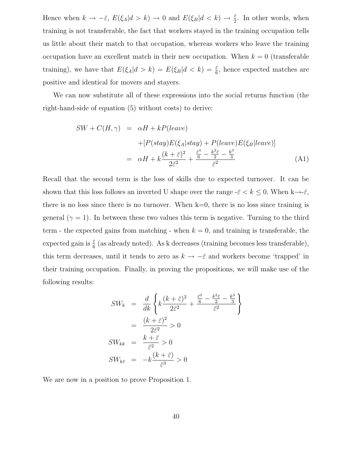Hence when  $k \to -\bar{\varepsilon}$ ,  $E(\xi_A|d>k) \to 0$  and  $E(\xi_B|d. In other words, when$ training is not transferable, the fact that workers stayed in the training occupation tells us little about their match to that occupation, whereas workers who leave the training occupation have an excellent match in their new occupation. When  $k = 0$  (transferable training), we have that  $E(\xi_A|d>k) = E(\xi_B|d k) = \frac{\bar{\varepsilon}}{6}$ , hence expected matches are positive and identical for movers and stayers.

We can now substitute all of these expressions into the social returns function (the right-hand-side of equation (5) without costs) to derive:

$$
SW + C(H, \gamma) = \alpha H + kP(leave)
$$
  
+ 
$$
[P(stay)E(\xi_A|stay) + P(leave)E(\xi_B|leave)]
$$
  
= 
$$
\alpha H + k\frac{(k+\bar{\varepsilon})^2}{2\bar{\varepsilon}^2} + \frac{\frac{\bar{\varepsilon}^3}{6} - \frac{k^2\bar{\varepsilon}}{2} - \frac{k^3}{3}}{\bar{\varepsilon}^2}
$$
(A1)

Recall that the second term is the loss of skills due to expected turnover. It can be shown that this loss follows an inverted U shape over the range  $-\bar{\varepsilon} < k \leq 0$ . When  $k \rightarrow -\bar{\varepsilon}$ , there is no loss since there is no turnover. When  $k=0$ , there is no loss since training is general ( $\gamma = 1$ ). In between these two values this term is negative. Turning to the third term - the expected gains from matching - when  $k = 0$ , and training is transferable, the expected gain is  $\frac{\bar{\varepsilon}}{6}$  (as already noted). As k decreases (training becomes less transferable), this term decreases, until it tends to zero as  $k \to -\bar{\varepsilon}$  and workers become 'trapped' in their training occupation. Finally, in proving the propositions, we will make use of the following results:

$$
SW_k = \frac{d}{dk} \left\{ k \frac{(k + \bar{\varepsilon})^2}{2\bar{\varepsilon}^2} + \frac{\frac{\bar{\varepsilon}^3}{6} - \frac{k^2 \bar{\varepsilon}}{2} - \frac{k^3}{3}}{\bar{\varepsilon}^2} \right\}
$$

$$
= \frac{(k + \bar{\varepsilon})^2}{2\bar{\varepsilon}^2} > 0
$$

$$
SW_{kk} = \frac{k + \bar{\varepsilon}}{\bar{\varepsilon}^2} > 0
$$

$$
SW_{k\bar{\varepsilon}} = -k \frac{(k + \bar{\varepsilon})}{\bar{\varepsilon}^3} > 0
$$

We are now in a position to prove Proposition 1.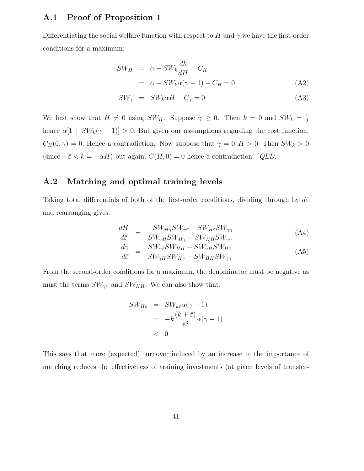#### **A.1 Proof of Proposition 1**

Differentiating the social welfare function with respect to H and  $\gamma$  we have the first-order conditions for a maximum:

$$
SW_H = \alpha + SW_k \frac{dk}{dH} - C_H
$$
  
=  $\alpha + SW_k \alpha (\gamma - 1) - C_H = 0$  (A2)

$$
SW_{\gamma} = SW_k \alpha H - C_{\gamma} = 0 \tag{A3}
$$

We first show that  $H \neq 0$  using  $SW_H$ . Suppose  $\gamma \geq 0$ . Then  $k = 0$  and  $SW_k = \frac{1}{2}$ hence  $\alpha[1 + SW_k(\gamma - 1)] > 0$ . But given our assumptions regarding the cost function,  $C_H(0, \gamma)=0$ . Hence a contradiction. Now suppose that  $\gamma = 0, H > 0$ . Then  $SW_k > 0$ (since  $-\bar{\varepsilon} < k = -\alpha H$ ) but again,  $C(H, 0) = 0$  hence a contradiction. *QED*.

### **A.2 Matching and optimal training levels**

Taking total differentials of both of the first-order conditions, dividing through by  $d\bar{\varepsilon}$ and rearranging gives:

$$
\frac{dH}{d\bar{\varepsilon}} = \frac{-SW_{H\gamma}SW_{\gamma\bar{\varepsilon}} + SW_{H\bar{\varepsilon}}SW_{\gamma\gamma}}{SW_{\gamma H}SW_{H\gamma} - SW_{HH}SW_{\gamma\gamma}}
$$
(A4)

$$
\frac{d\gamma}{d\bar{\varepsilon}} = \frac{SW_{\gamma\bar{\varepsilon}}SW_{HH} - SW_{\gamma H}SW_{H\bar{\varepsilon}}}{SW_{\gamma H}SW_{H\gamma} - SW_{HH}SW_{\gamma\gamma}}
$$
(A5)

From the second-order conditions for a maximum, the denominator must be negative as must the terms  $SW_{\gamma\gamma}$  and  $SW_{HH}$ . We can also show that:

$$
SW_{H\bar{\varepsilon}} = SW_{k\bar{\varepsilon}}\alpha(\gamma - 1)
$$
  
=  $-k\frac{(k + \bar{\varepsilon})}{\bar{\varepsilon}^3}\alpha(\gamma - 1)$   
< 0

This says that more (expected) turnover induced by an increase in the importance of matching reduces the effectiveness of training investments (at given levels of transfer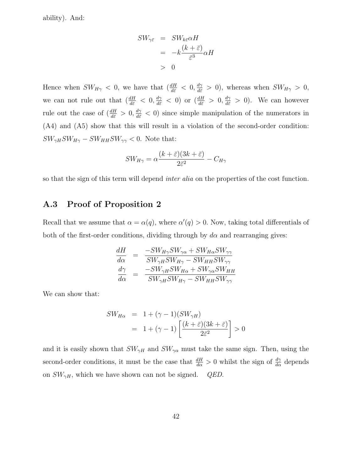ability). And:

$$
SW_{\gamma\bar{\varepsilon}} = SW_{k\bar{\varepsilon}}\alpha H
$$
  
=  $-k\frac{(k+\bar{\varepsilon})}{\bar{\varepsilon}^3}\alpha H$   
> 0

Hence when  $SW_{H\gamma} < 0$ , we have that  $\left(\frac{dH}{d\bar{\varepsilon}} < 0, \frac{d\gamma}{d\bar{\varepsilon}} > 0\right)$ , whereas when  $SW_{H\gamma} > 0$ , we can not rule out that  $\left(\frac{dH}{d\bar{\varepsilon}} < 0, \frac{d\gamma}{d\bar{\varepsilon}} < 0\right)$  or  $\left(\frac{dH}{d\bar{\varepsilon}} > 0, \frac{d\gamma}{d\bar{\varepsilon}} > 0\right)$ . We can however rule out the case of  $(\frac{dH}{d\bar{\varepsilon}} > 0, \frac{d\gamma}{d\bar{\varepsilon}} < 0)$  since simple manipulation of the numerators in (A4) and (A5) show that this will result in a violation of the second-order condition:  $SW_{\gamma H}SW_{H\gamma} - SW_{HH}SW_{\gamma\gamma} < 0$ . Note that:

$$
SW_{H\gamma} = \alpha \frac{(k+\bar{\varepsilon})(3k+\bar{\varepsilon})}{2\bar{\varepsilon}^2} - C_{H\gamma}
$$

so that the sign of this term will depend *inter alia* on the properties of the cost function.

### **A.3 Proof of Proposition 2**

Recall that we assume that  $\alpha = \alpha(q)$ , where  $\alpha'(q) > 0$ . Now, taking total differentials of both of the first-order conditions, dividing through by  $d\alpha$  and rearranging gives:

$$
\begin{array}{rcl}\n\frac{dH}{d\alpha} & = & \frac{-SW_{H\gamma}SW_{\gamma\alpha} + SW_{H\alpha}SW_{\gamma\gamma}}{SW_{\gamma H}SW_{H\gamma} - SW_{HH}SW_{\gamma\gamma}} \\
\frac{d\gamma}{d\alpha} & = & \frac{-SW_{\gamma H}SW_{H\alpha} + SW_{\gamma\alpha}SW_{HH}}{SW_{\gamma H}SW_{H\gamma} - SW_{HH}SW_{\gamma\gamma}}\n\end{array}
$$

We can show that:

$$
SW_{H\alpha} = 1 + (\gamma - 1)(SW_{\gamma H})
$$
  
= 1 + (\gamma - 1) \left[ \frac{(k + \bar{\varepsilon})(3k + \bar{\varepsilon})}{2\bar{\varepsilon}^2} \right] > 0

and it is easily shown that  $SW_{\gamma H}$  and  $SW_{\gamma\alpha}$  must take the same sign. Then, using the second-order conditions, it must be the case that  $\frac{dH}{d\alpha} > 0$  whilst the sign of  $\frac{d\gamma}{d\alpha}$  depends on  $SW_{\gamma H}$ , which we have shown can not be signed. *QED*.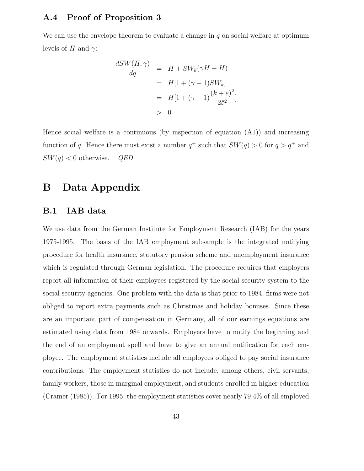#### **A.4 Proof of Proposition 3**

We can use the envelope theorem to evaluate a change in  $q$  on social welfare at optimum levels of H and  $\gamma$ :

$$
\frac{dSW(H,\gamma)}{dq} = H + SW_k(\gamma H - H)
$$
  
=  $H[1 + (\gamma - 1)SW_k]$   
=  $H[1 + (\gamma - 1)\frac{(k + \bar{\varepsilon})^2}{2\bar{\varepsilon}^2}]$   
> 0

Hence social welfare is a continuous (by inspection of equation  $(A1)$ ) and increasing function of q. Hence there must exist a number  $q^+$  such that  $SW(q) > 0$  for  $q > q^+$  and  $SW(q) < 0$  otherwise. *QED*.

### **B Data Appendix**

#### **B.1 IAB data**

We use data from the German Institute for Employment Research (IAB) for the years 1975-1995. The basis of the IAB employment subsample is the integrated notifying procedure for health insurance, statutory pension scheme and unemployment insurance which is regulated through German legislation. The procedure requires that employers report all information of their employees registered by the social security system to the social security agencies. One problem with the data is that prior to 1984, firms were not obliged to report extra payments such as Christmas and holiday bonuses. Since these are an important part of compensation in Germany, all of our earnings equations are estimated using data from 1984 onwards. Employers have to notify the beginning and the end of an employment spell and have to give an annual notification for each employee. The employment statistics include all employees obliged to pay social insurance contributions. The employment statistics do not include, among others, civil servants, family workers, those in marginal employment, and students enrolled in higher education (Cramer (1985)). For 1995, the employment statistics cover nearly 79.4% of all employed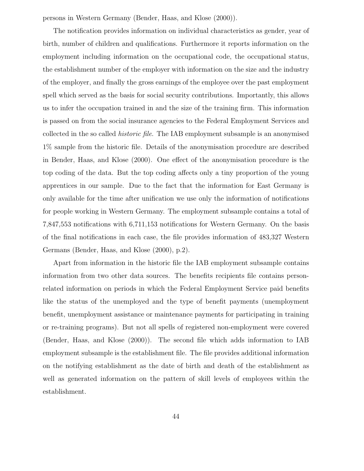persons in Western Germany (Bender, Haas, and Klose (2000)).

The notification provides information on individual characteristics as gender, year of birth, number of children and qualifications. Furthermore it reports information on the employment including information on the occupational code, the occupational status, the establishment number of the employer with information on the size and the industry of the employer, and finally the gross earnings of the employee over the past employment spell which served as the basis for social security contributions. Importantly, this allows us to infer the occupation trained in and the size of the training firm. This information is passed on from the social insurance agencies to the Federal Employment Services and collected in the so called historic file. The IAB employment subsample is an anonymised 1% sample from the historic file. Details of the anonymisation procedure are described in Bender, Haas, and Klose (2000). One effect of the anonymisation procedure is the top coding of the data. But the top coding affects only a tiny proportion of the young apprentices in our sample. Due to the fact that the information for East Germany is only available for the time after unification we use only the information of notifications for people working in Western Germany. The employment subsample contains a total of 7,847,553 notifications with 6,711,153 notifications for Western Germany. On the basis of the final notifications in each case, the file provides information of 483,327 Western Germans (Bender, Haas, and Klose (2000), p.2).

Apart from information in the historic file the IAB employment subsample contains information from two other data sources. The benefits recipients file contains personrelated information on periods in which the Federal Employment Service paid benefits like the status of the unemployed and the type of benefit payments (unemployment benefit, unemployment assistance or maintenance payments for participating in training or re-training programs). But not all spells of registered non-employment were covered (Bender, Haas, and Klose (2000)). The second file which adds information to IAB employment subsample is the establishment file. The file provides additional information on the notifying establishment as the date of birth and death of the establishment as well as generated information on the pattern of skill levels of employees within the establishment.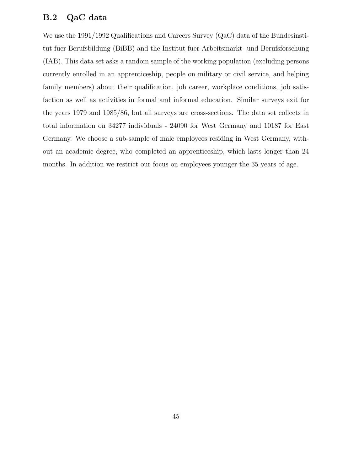### **B.2 QaC data**

We use the 1991/1992 Qualifications and Careers Survey (QaC) data of the Bundesinstitut fuer Berufsbildung (BiBB) and the Institut fuer Arbeitsmarkt- und Berufsforschung (IAB). This data set asks a random sample of the working population (excluding persons currently enrolled in an apprenticeship, people on military or civil service, and helping family members) about their qualification, job career, workplace conditions, job satisfaction as well as activities in formal and informal education. Similar surveys exit for the years 1979 and 1985/86, but all surveys are cross-sections. The data set collects in total information on 34277 individuals - 24090 for West Germany and 10187 for East Germany. We choose a sub-sample of male employees residing in West Germany, without an academic degree, who completed an apprenticeship, which lasts longer than 24 months. In addition we restrict our focus on employees younger the 35 years of age.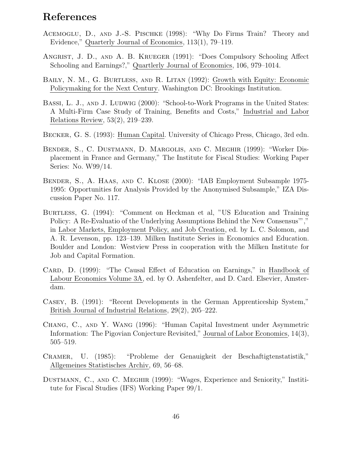# **References**

- Acemoglu, D., and J.-S. Pischke (1998): "Why Do Firms Train? Theory and Evidence," Quarterly Journal of Economics, 113(1), 79–119.
- Angrist, J. D., and A. B. Krueger (1991): "Does Compulsory Schooling Affect Schooling and Earnings?," Quartlerly Journal of Economics, 106, 979–1014.
- Baily, N. M., G. Burtless, and R. Litan (1992): Growth with Equity: Economic Policymaking for the Next Century. Washington DC: Brookings Institution.
- BASSI, L. J., AND J. LUDWIG (2000): "School-to-Work Programs in the United States: A Multi-Firm Case Study of Training, Benefits and Costs," Industrial and Labor Relations Review, 53(2), 219–239.
- Becker, G. S. (1993): Human Capital. University of Chicago Press, Chicago, 3rd edn.
- Bender, S., C. Dustmann, D. Margolis, and C. Meghir (1999): "Worker Displacement in France and Germany," The Institute for Fiscal Studies: Working Paper Series: No. W99/14.
- Bender, S., A. Haas, and C. Klose (2000): "IAB Employment Subsample 1975- 1995: Opportunities for Analysis Provided by the Anonymised Subsample," IZA Discussion Paper No. 117.
- Burtless, G. (1994): "Comment on Heckman et al, "US Education and Training Policy: A Re-Evaluatio of the Underlying Assumptions Behind the New Consensus'"," in Labor Markets, Employment Policy, and Job Creation, ed. by L. C. Solomon, and A. R. Levenson, pp. 123–139. Milken Institute Series in Economics and Education. Boulder and London: Westview Press in cooperation with the Milken Institute for Job and Capital Formation.
- CARD, D. (1999): "The Causal Effect of Education on Earnings," in Handbook of Labour Economics Volume 3A, ed. by O. Ashenfelter, and D. Card. Elsevier, Amsterdam.
- Casey, B. (1991): "Recent Developments in the German Apprenticeship System," British Journal of Industrial Relations, 29(2), 205–222.
- Chang, C., and Y. Wang (1996): "Human Capital Investment under Asymmetric Information: The Pigovian Conjecture Revisited," Journal of Labor Economics, 14(3), 505–519.
- Cramer, U. (1985): "Probleme der Genauigkeit der Beschaftigtenstatistik," Allgemeines Statistisches Archiv, 69, 56–68.
- Dustmann, C., and C. Meghir (1999): "Wages, Experience and Seniority," Instititute for Fiscal Studies (IFS) Working Paper 99/1.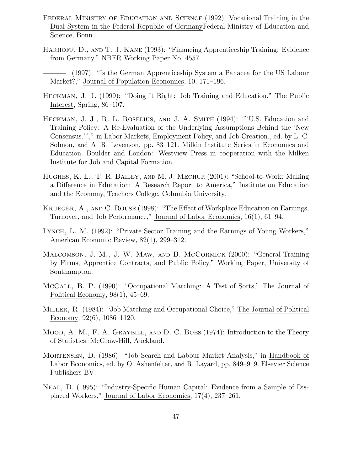- Federal Ministry of Education and Science (1992): Vocational Training in the Dual System in the Federal Republic of GermanyFederal Ministry of Education and Science, Bonn.
- Harhoff, D., and T. J. Kane (1993): "Financing Apprenticeship Training: Evidence from Germany," NBER Working Paper No. 4557.
- (1997): "Is the German Apprenticeship System a Panacea for the US Labour Market?," Journal of Population Economics, 10, 171–196.
- Heckman, J. J. (1999): "Doing It Right: Job Training and Education," The Public Interest, Spring, 86–107.
- Heckman, J. J., R. L. Roselius, and J. A. Smith (1994): ""U.S. Education and Training Policy: A Re-Evaluation of the Underlying Assumptions Behind the 'New Consensus.'"," in Labor Markets, Employment Policy, and Job Creation., ed. by L. C. Solmon, and A. R. Levenson, pp. 83–121. Milkin Institute Series in Economics and Education. Boulder and London: Westview Press in cooperation with the Milken Institute for Job and Capital Formation.
- Hughes, K. L., T. R. Bailey, and M. J. Mechur (2001): "School-to-Work: Making a Difference in Education: A Research Report to America," Institute on Education and the Economy, Teachers College, Columbia University.
- Krueger, A., and C. Rouse (1998): "The Effect of Workplace Education on Earnings, Turnover, and Job Performance," Journal of Labor Economics, 16(1), 61–94.
- Lynch, L. M. (1992): "Private Sector Training and the Earnings of Young Workers," American Economic Review, 82(1), 299–312.
- Malcomson, J. M., J. W. Maw, and B. McCormick (2000): "General Training by Firms, Apprentice Contracts, and Public Policy," Working Paper, University of Southampton.
- McCall, B. P. (1990): "Occupational Matching: A Test of Sorts," The Journal of Political Economy, 98(1), 45–69.
- Miller, R. (1984): "Job Matching and Occupational Choice," The Journal of Political Economy, 92(6), 1086–1120.
- Mood, A. M., F. A. Graybill, and D. C. Boes (1974): Introduction to the Theory of Statistics. McGraw-Hill, Auckland.
- Mortensen, D. (1986): "Job Search and Labour Market Analysis," in Handbook of Labor Economics, ed. by O. Ashenfelter, and R. Layard, pp. 849–919. Elsevier Science Publishers BV.
- Neal, D. (1995): "Industry-Specific Human Capital: Evidence from a Sample of Displaced Workers," Journal of Labor Economics, 17(4), 237–261.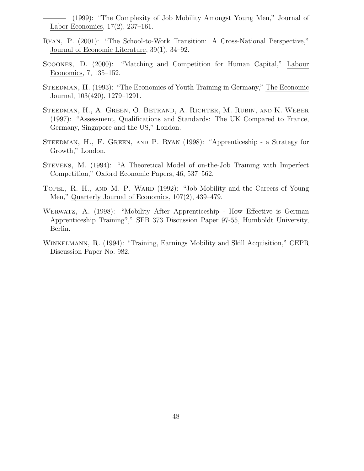(1999): "The Complexity of Job Mobility Amongst Young Men," Journal of Labor Economics, 17(2), 237–161.

- Ryan, P. (2001): "The School-to-Work Transition: A Cross-National Perspective," Journal of Economic Literature, 39(1), 34–92.
- Scoones, D. (2000): "Matching and Competition for Human Capital," Labour Economics, 7, 135–152.
- Steedman, H. (1993): "The Economics of Youth Training in Germany," The Economic Journal, 103(420), 1279–1291.
- Steedman, H., A. Green, O. Betrand, A. Richter, M. Rubin, and K. Weber (1997): "Assessment, Qualifications and Standards: The UK Compared to France, Germany, Singapore and the US," London.
- Steedman, H., F. Green, and P. Ryan (1998): "Apprenticeship a Strategy for Growth," London.
- Stevens, M. (1994): "A Theoretical Model of on-the-Job Training with Imperfect Competition," Oxford Economic Papers, 46, 537–562.
- TOPEL, R. H., AND M. P. WARD (1992): "Job Mobility and the Careers of Young Men," Quarterly Journal of Economics, 107(2), 439–479.
- Werwatz, A. (1998): "Mobility After Apprenticeship How Effective is German Apprenticeship Training?," SFB 373 Discussion Paper 97-55, Humboldt University, Berlin.
- Winkelmann, R. (1994): "Training, Earnings Mobility and Skill Acquisition," CEPR Discussion Paper No. 982.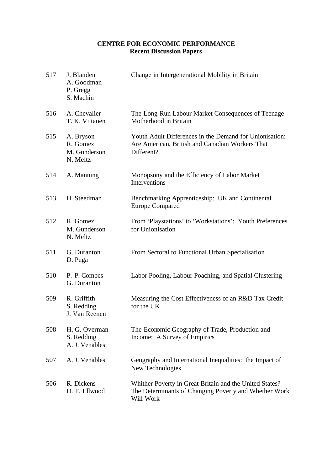### **CENTRE FOR ECONOMIC PERFORMANCE Recent Discussion Papers**

| 517 | J. Blanden<br>A. Goodman<br>P. Gregg<br>S. Machin | Change in Intergenerational Mobility in Britain                                                                               |
|-----|---------------------------------------------------|-------------------------------------------------------------------------------------------------------------------------------|
| 516 | A. Chevalier<br>T. K. Viitanen                    | The Long-Run Labour Market Consequences of Teenage<br>Motherhood in Britain                                                   |
| 515 | A. Bryson<br>R. Gomez<br>M. Gunderson<br>N. Meltz | Youth Adult Differences in the Demand for Unionisation:<br>Are American, British and Canadian Workers That<br>Different?      |
| 514 | A. Manning                                        | Monopsony and the Efficiency of Labor Market<br>Interventions                                                                 |
| 513 | H. Steedman                                       | Benchmarking Apprenticeship: UK and Continental<br><b>Europe Compared</b>                                                     |
| 512 | R. Gomez<br>M. Gunderson<br>N. Meltz              | From 'Playstations' to 'Workstations': Youth Preferences<br>for Unionisation                                                  |
| 511 | G. Duranton<br>D. Puga                            | From Sectoral to Functional Urban Specialisation                                                                              |
| 510 | P.-P. Combes<br>G. Duranton                       | Labor Pooling, Labour Poaching, and Spatial Clustering                                                                        |
| 509 | R. Griffith<br>S. Redding<br>J. Van Reenen        | Measuring the Cost Effectiveness of an R&D Tax Credit<br>for the UK                                                           |
| 508 | H. G. Overman<br>S. Redding<br>A. J. Venables     | The Economic Geography of Trade, Production and<br>Income: A Survey of Empirics                                               |
| 507 | A. J. Venables                                    | Geography and International Inequalities: the Impact of<br>New Technologies                                                   |
| 506 | R. Dickens<br>D. T. Ellwood                       | Whither Poverty in Great Britain and the United States?<br>The Determinants of Changing Poverty and Whether Work<br>Will Work |